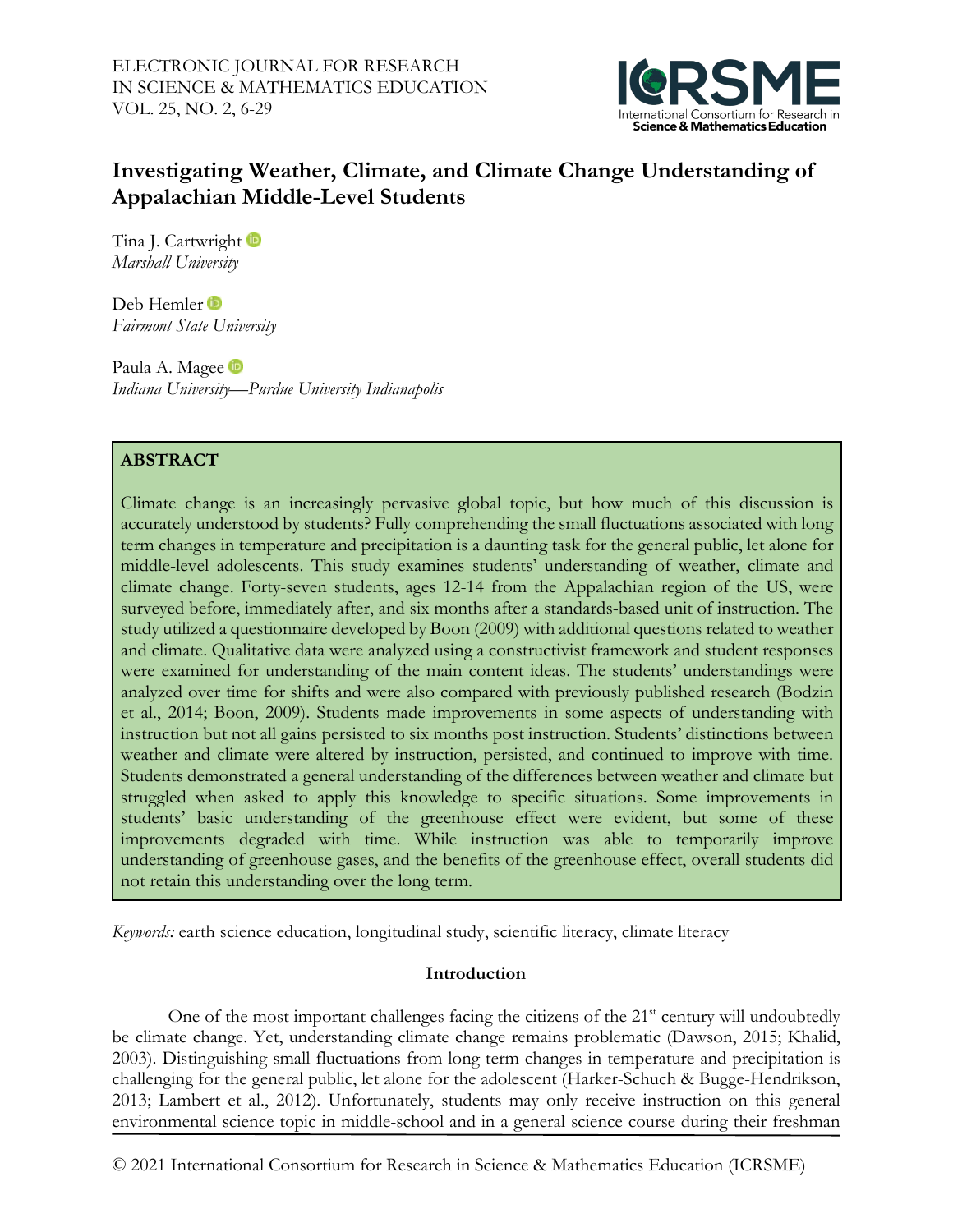

# **Investigating Weather, Climate, and Climate Change Understanding of Appalachian Middle-Level Students**

TinaJ. Cartwright *Marshall University*

DebHemler<sup>tip</sup> *Fairmont State University* 

PaulaA. Magee in *Indiana University—Purdue University Indianapolis*

## **ABSTRACT**

Climate change is an increasingly pervasive global topic, but how much of this discussion is accurately understood by students? Fully comprehending the small fluctuations associated with long term changes in temperature and precipitation is a daunting task for the general public, let alone for middle-level adolescents. This study examines students' understanding of weather, climate and climate change. Forty-seven students, ages 12-14 from the Appalachian region of the US, were surveyed before, immediately after, and six months after a standards-based unit of instruction. The study utilized a questionnaire developed by Boon (2009) with additional questions related to weather and climate. Qualitative data were analyzed using a constructivist framework and student responses were examined for understanding of the main content ideas. The students' understandings were analyzed over time for shifts and were also compared with previously published research (Bodzin et al., 2014; Boon, 2009). Students made improvements in some aspects of understanding with instruction but not all gains persisted to six months post instruction. Students' distinctions between weather and climate were altered by instruction, persisted, and continued to improve with time. Students demonstrated a general understanding of the differences between weather and climate but struggled when asked to apply this knowledge to specific situations. Some improvements in students' basic understanding of the greenhouse effect were evident, but some of these improvements degraded with time. While instruction was able to temporarily improve understanding of greenhouse gases, and the benefits of the greenhouse effect, overall students did not retain this understanding over the long term.

*Keywords:* earth science education, longitudinal study, scientific literacy, climate literacy

## **Introduction**

One of the most important challenges facing the citizens of the 21<sup>st</sup> century will undoubtedly be climate change. Yet, understanding climate change remains problematic (Dawson, 2015; Khalid, 2003). Distinguishing small fluctuations from long term changes in temperature and precipitation is challenging for the general public, let alone for the adolescent (Harker-Schuch & Bugge-Hendrikson, 2013; Lambert et al., 2012). Unfortunately, students may only receive instruction on this general environmental science topic in middle-school and in a general science course during their freshman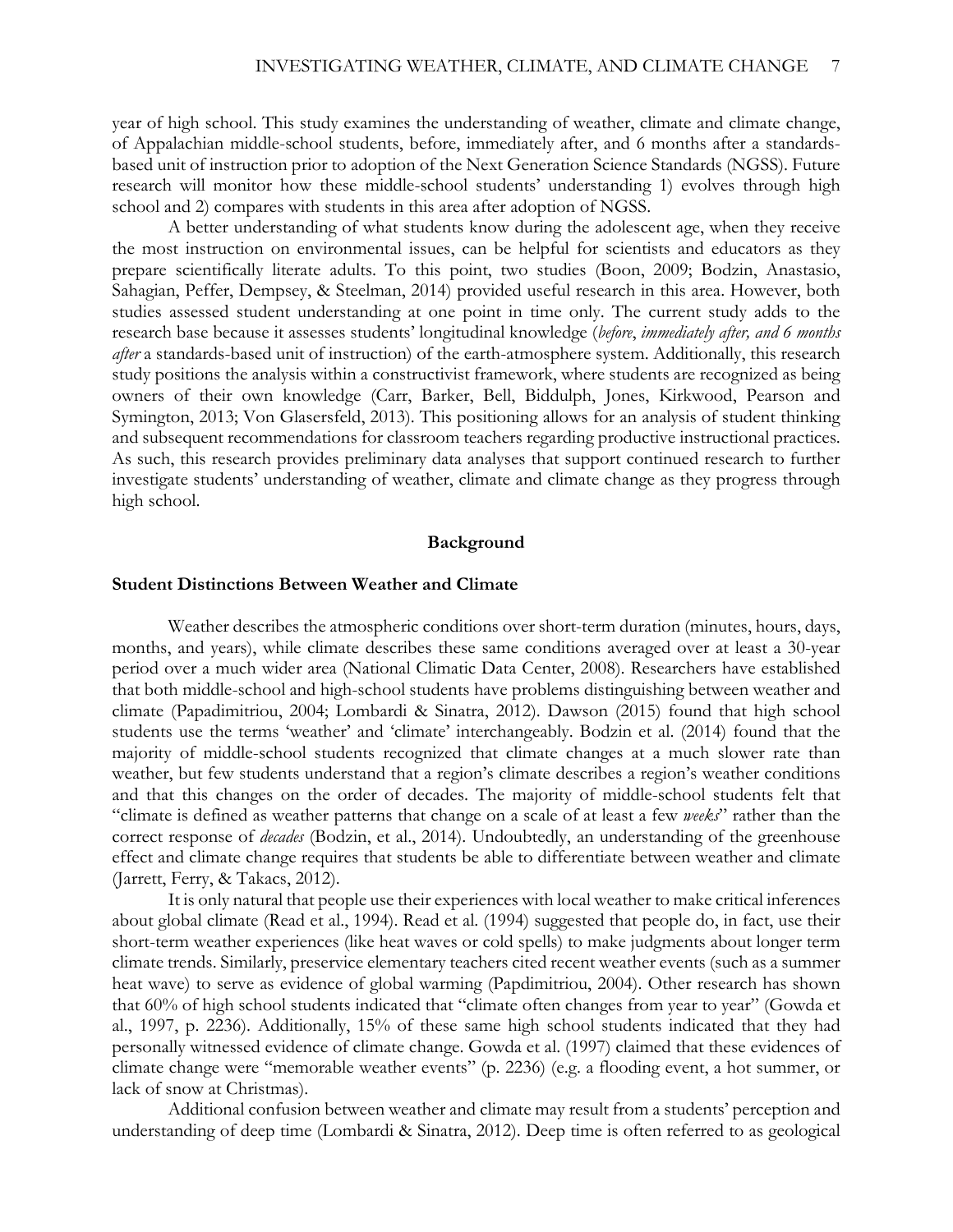year of high school. This study examines the understanding of weather, climate and climate change, of Appalachian middle-school students, before, immediately after, and 6 months after a standardsbased unit of instruction prior to adoption of the Next Generation Science Standards (NGSS). Future research will monitor how these middle-school students' understanding 1) evolves through high school and 2) compares with students in this area after adoption of NGSS.

A better understanding of what students know during the adolescent age, when they receive the most instruction on environmental issues, can be helpful for scientists and educators as they prepare scientifically literate adults. To this point, two studies (Boon, 2009; Bodzin, Anastasio, Sahagian, Peffer, Dempsey, & Steelman, 2014) provided useful research in this area. However, both studies assessed student understanding at one point in time only. The current study adds to the research base because it assesses students' longitudinal knowledge (*before*, *immediately after, and 6 months after* a standards-based unit of instruction) of the earth-atmosphere system. Additionally, this research study positions the analysis within a constructivist framework, where students are recognized as being owners of their own knowledge (Carr, Barker, Bell, Biddulph, Jones, Kirkwood, Pearson and Symington, 2013; Von Glasersfeld, 2013). This positioning allows for an analysis of student thinking and subsequent recommendations for classroom teachers regarding productive instructional practices. As such, this research provides preliminary data analyses that support continued research to further investigate students' understanding of weather, climate and climate change as they progress through high school.

### **Background**

#### **Student Distinctions Between Weather and Climate**

Weather describes the atmospheric conditions over short-term duration (minutes, hours, days, months, and years), while climate describes these same conditions averaged over at least a 30-year period over a much wider area (National Climatic Data Center, 2008). Researchers have established that both middle-school and high-school students have problems distinguishing between weather and climate (Papadimitriou, 2004; Lombardi & Sinatra, 2012). Dawson (2015) found that high school students use the terms 'weather' and 'climate' interchangeably. Bodzin et al. (2014) found that the majority of middle-school students recognized that climate changes at a much slower rate than weather, but few students understand that a region's climate describes a region's weather conditions and that this changes on the order of decades. The majority of middle-school students felt that "climate is defined as weather patterns that change on a scale of at least a few *weeks*" rather than the correct response of *decades* (Bodzin, et al., 2014). Undoubtedly, an understanding of the greenhouse effect and climate change requires that students be able to differentiate between weather and climate (Jarrett, Ferry, & Takacs, 2012).

It is only natural that people use their experiences with local weather to make critical inferences about global climate (Read et al., 1994). Read et al. (1994) suggested that people do, in fact, use their short-term weather experiences (like heat waves or cold spells) to make judgments about longer term climate trends. Similarly, preservice elementary teachers cited recent weather events (such as a summer heat wave) to serve as evidence of global warming (Papdimitriou, 2004). Other research has shown that 60% of high school students indicated that "climate often changes from year to year" (Gowda et al., 1997, p. 2236). Additionally, 15% of these same high school students indicated that they had personally witnessed evidence of climate change. Gowda et al. (1997) claimed that these evidences of climate change were "memorable weather events" (p. 2236) (e.g. a flooding event, a hot summer, or lack of snow at Christmas).

Additional confusion between weather and climate may result from a students' perception and understanding of deep time (Lombardi & Sinatra, 2012). Deep time is often referred to as geological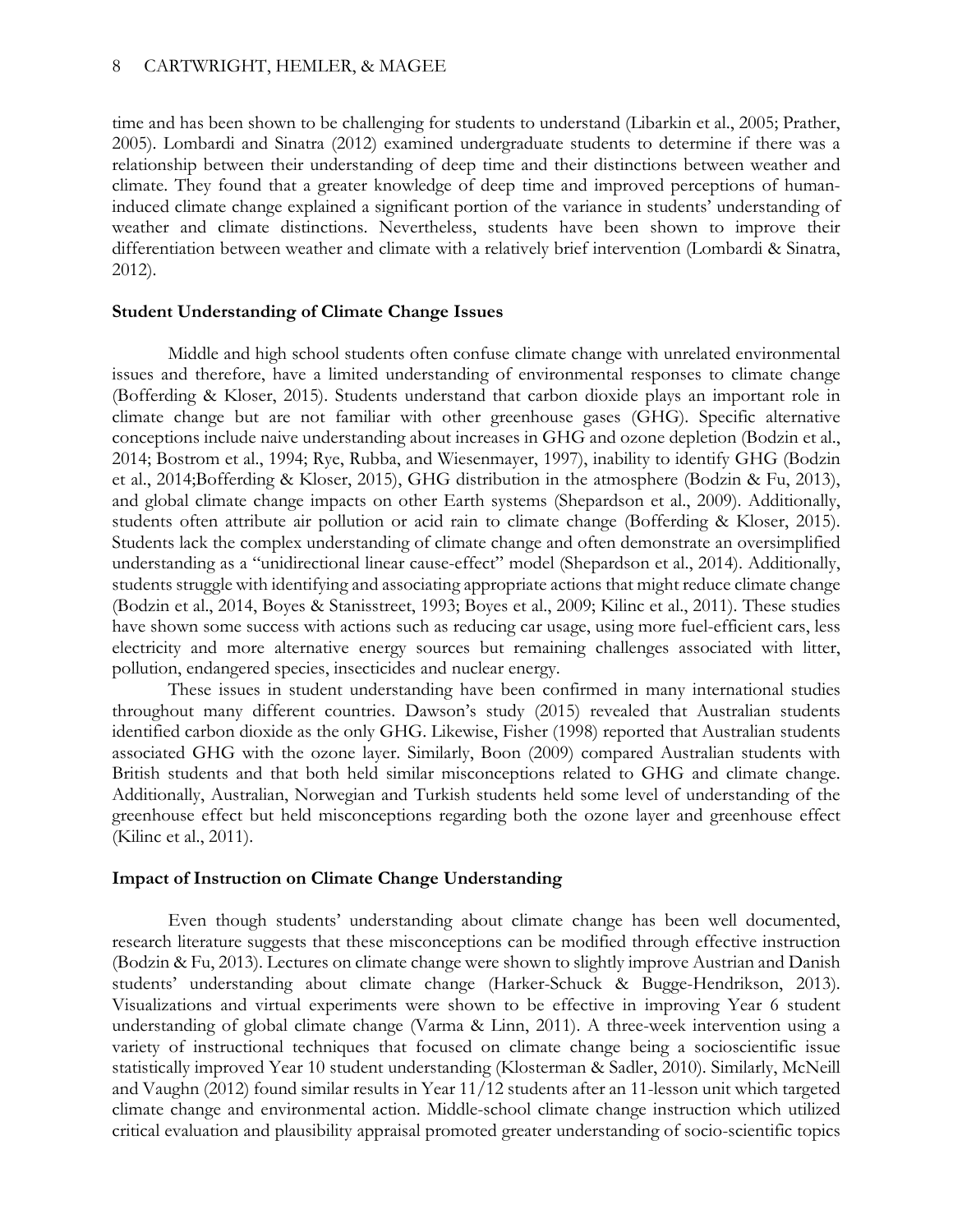time and has been shown to be challenging for students to understand (Libarkin et al., 2005; Prather, 2005). Lombardi and Sinatra (2012) examined undergraduate students to determine if there was a relationship between their understanding of deep time and their distinctions between weather and climate. They found that a greater knowledge of deep time and improved perceptions of humaninduced climate change explained a significant portion of the variance in students' understanding of weather and climate distinctions. Nevertheless, students have been shown to improve their differentiation between weather and climate with a relatively brief intervention (Lombardi & Sinatra, 2012).

### **Student Understanding of Climate Change Issues**

Middle and high school students often confuse climate change with unrelated environmental issues and therefore, have a limited understanding of environmental responses to climate change (Bofferding & Kloser, 2015). Students understand that carbon dioxide plays an important role in climate change but are not familiar with other greenhouse gases (GHG). Specific alternative conceptions include naive understanding about increases in GHG and ozone depletion (Bodzin et al., 2014; Bostrom et al., 1994; Rye, Rubba, and Wiesenmayer, 1997), inability to identify GHG (Bodzin et al., 2014;Bofferding & Kloser, 2015), GHG distribution in the atmosphere (Bodzin & Fu, 2013), and global climate change impacts on other Earth systems (Shepardson et al., 2009). Additionally, students often attribute air pollution or acid rain to climate change (Bofferding & Kloser, 2015). Students lack the complex understanding of climate change and often demonstrate an oversimplified understanding as a "unidirectional linear cause-effect" model (Shepardson et al., 2014). Additionally, students struggle with identifying and associating appropriate actions that might reduce climate change (Bodzin et al., 2014, Boyes & Stanisstreet, 1993; Boyes et al., 2009; Kilinc et al., 2011). These studies have shown some success with actions such as reducing car usage, using more fuel-efficient cars, less electricity and more alternative energy sources but remaining challenges associated with litter, pollution, endangered species, insecticides and nuclear energy.

These issues in student understanding have been confirmed in many international studies throughout many different countries. Dawson's study (2015) revealed that Australian students identified carbon dioxide as the only GHG. Likewise, Fisher (1998) reported that Australian students associated GHG with the ozone layer. Similarly, Boon (2009) compared Australian students with British students and that both held similar misconceptions related to GHG and climate change. Additionally, Australian, Norwegian and Turkish students held some level of understanding of the greenhouse effect but held misconceptions regarding both the ozone layer and greenhouse effect (Kilinc et al., 2011).

### **Impact of Instruction on Climate Change Understanding**

Even though students' understanding about climate change has been well documented, research literature suggests that these misconceptions can be modified through effective instruction (Bodzin & Fu, 2013). Lectures on climate change were shown to slightly improve Austrian and Danish students' understanding about climate change (Harker-Schuck & Bugge-Hendrikson, 2013). Visualizations and virtual experiments were shown to be effective in improving Year 6 student understanding of global climate change (Varma & Linn, 2011). A three-week intervention using a variety of instructional techniques that focused on climate change being a socioscientific issue statistically improved Year 10 student understanding (Klosterman & Sadler, 2010). Similarly, McNeill and Vaughn (2012) found similar results in Year 11/12 students after an 11-lesson unit which targeted climate change and environmental action. Middle-school climate change instruction which utilized critical evaluation and plausibility appraisal promoted greater understanding of socio-scientific topics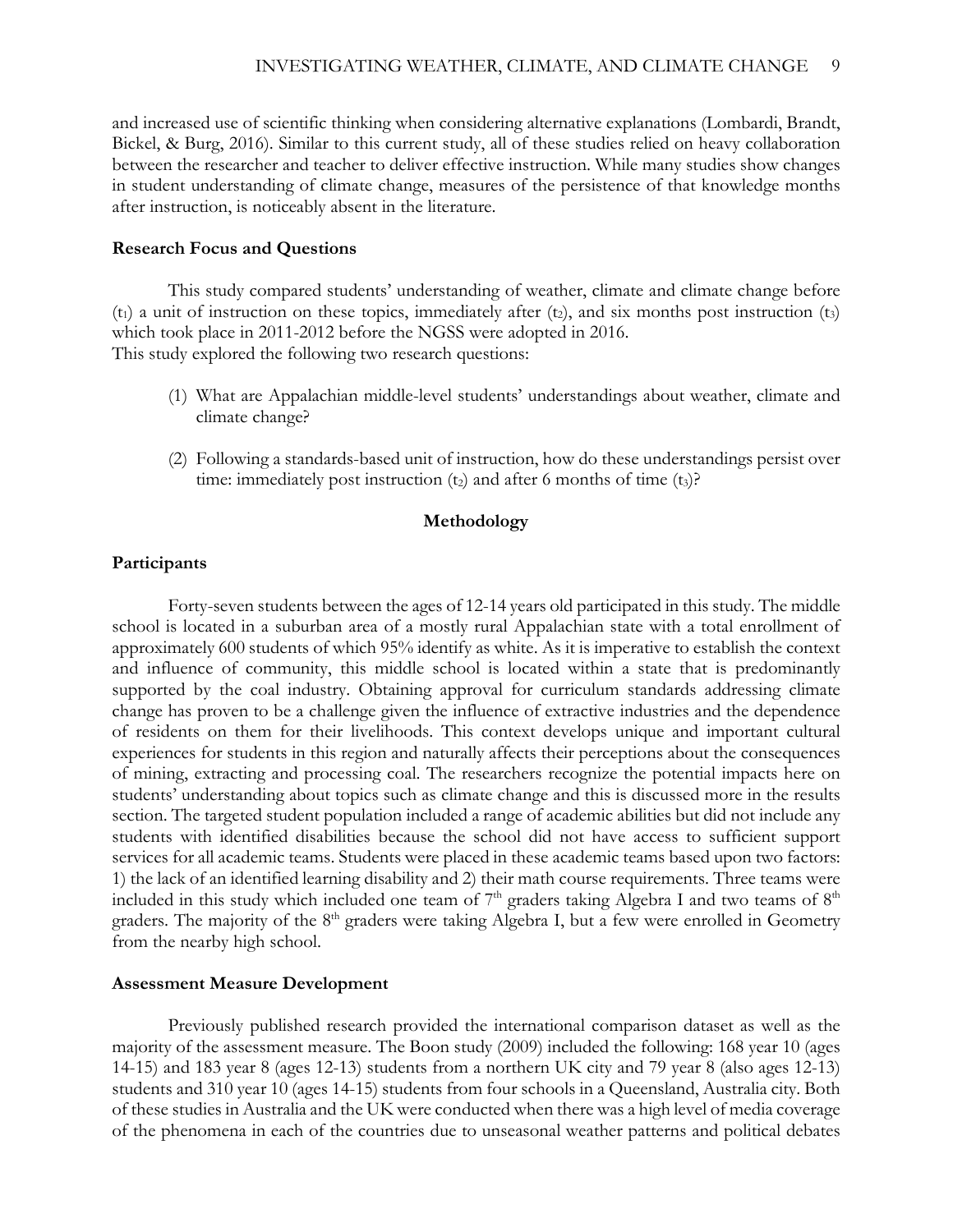and increased use of scientific thinking when considering alternative explanations (Lombardi, Brandt, Bickel, & Burg, 2016). Similar to this current study, all of these studies relied on heavy collaboration between the researcher and teacher to deliver effective instruction. While many studies show changes in student understanding of climate change, measures of the persistence of that knowledge months after instruction, is noticeably absent in the literature.

#### **Research Focus and Questions**

This study compared students' understanding of weather, climate and climate change before  $(t_1)$  a unit of instruction on these topics, immediately after  $(t_2)$ , and six months post instruction  $(t_3)$ which took place in 2011-2012 before the NGSS were adopted in 2016. This study explored the following two research questions:

- (1) What are Appalachian middle-level students' understandings about weather, climate and climate change?
- (2) Following a standards-based unit of instruction, how do these understandings persist over time: immediately post instruction  $(t_2)$  and after 6 months of time  $(t_3)$ ?

### **Methodology**

### **Participants**

Forty-seven students between the ages of 12-14 years old participated in this study. The middle school is located in a suburban area of a mostly rural Appalachian state with a total enrollment of approximately 600 students of which 95% identify as white. As it is imperative to establish the context and influence of community, this middle school is located within a state that is predominantly supported by the coal industry. Obtaining approval for curriculum standards addressing climate change has proven to be a challenge given the influence of extractive industries and the dependence of residents on them for their livelihoods. This context develops unique and important cultural experiences for students in this region and naturally affects their perceptions about the consequences of mining, extracting and processing coal. The researchers recognize the potential impacts here on students' understanding about topics such as climate change and this is discussed more in the results section. The targeted student population included a range of academic abilities but did not include any students with identified disabilities because the school did not have access to sufficient support services for all academic teams. Students were placed in these academic teams based upon two factors: 1) the lack of an identified learning disability and 2) their math course requirements. Three teams were included in this study which included one team of  $7<sup>th</sup>$  graders taking Algebra I and two teams of  $8<sup>th</sup>$ graders. The majority of the 8<sup>th</sup> graders were taking Algebra I, but a few were enrolled in Geometry from the nearby high school.

#### **Assessment Measure Development**

Previously published research provided the international comparison dataset as well as the majority of the assessment measure. The Boon study (2009) included the following: 168 year 10 (ages 14-15) and 183 year 8 (ages 12-13) students from a northern UK city and 79 year 8 (also ages 12-13) students and 310 year 10 (ages 14-15) students from four schools in a Queensland, Australia city. Both of these studies in Australia and the UK were conducted when there was a high level of media coverage of the phenomena in each of the countries due to unseasonal weather patterns and political debates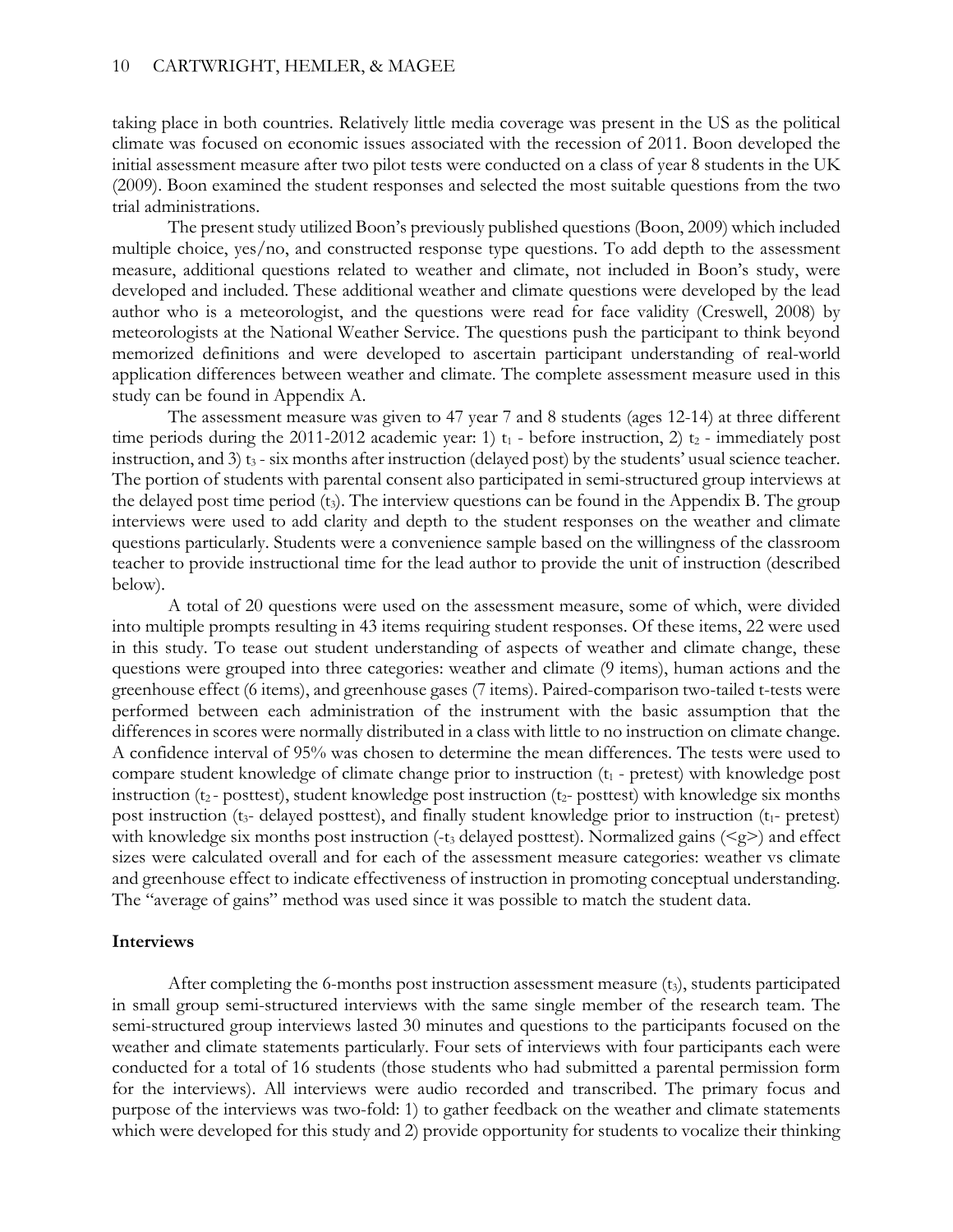taking place in both countries. Relatively little media coverage was present in the US as the political climate was focused on economic issues associated with the recession of 2011. Boon developed the initial assessment measure after two pilot tests were conducted on a class of year 8 students in the UK (2009). Boon examined the student responses and selected the most suitable questions from the two trial administrations.

The present study utilized Boon's previously published questions (Boon, 2009) which included multiple choice, yes/no, and constructed response type questions. To add depth to the assessment measure, additional questions related to weather and climate, not included in Boon's study, were developed and included. These additional weather and climate questions were developed by the lead author who is a meteorologist, and the questions were read for face validity (Creswell, 2008) by meteorologists at the National Weather Service. The questions push the participant to think beyond memorized definitions and were developed to ascertain participant understanding of real-world application differences between weather and climate. The complete assessment measure used in this study can be found in Appendix A.

The assessment measure was given to 47 year 7 and 8 students (ages 12-14) at three different time periods during the 2011-2012 academic year: 1)  $t_1$  - before instruction, 2)  $t_2$  - immediately post instruction, and 3)  $t_3$  - six months after instruction (delayed post) by the students' usual science teacher. The portion of students with parental consent also participated in semi-structured group interviews at the delayed post time period (t3). The interview questions can be found in the Appendix B. The group interviews were used to add clarity and depth to the student responses on the weather and climate questions particularly. Students were a convenience sample based on the willingness of the classroom teacher to provide instructional time for the lead author to provide the unit of instruction (described below).

A total of 20 questions were used on the assessment measure, some of which, were divided into multiple prompts resulting in 43 items requiring student responses. Of these items, 22 were used in this study. To tease out student understanding of aspects of weather and climate change, these questions were grouped into three categories: weather and climate (9 items), human actions and the greenhouse effect (6 items), and greenhouse gases (7 items). Paired-comparison two-tailed t-tests were performed between each administration of the instrument with the basic assumption that the differences in scores were normally distributed in a class with little to no instruction on climate change. A confidence interval of 95% was chosen to determine the mean differences. The tests were used to compare student knowledge of climate change prior to instruction  $(t_1 - \text{pretest})$  with knowledge post instruction (t2- posttest), student knowledge post instruction (t2- posttest) with knowledge six months post instruction ( $t_3$ - delayed posttest), and finally student knowledge prior to instruction ( $t_1$ - pretest) with knowledge six months post instruction (-t<sub>3</sub> delayed posttest). Normalized gains ( $\leq g$ ) and effect sizes were calculated overall and for each of the assessment measure categories: weather vs climate and greenhouse effect to indicate effectiveness of instruction in promoting conceptual understanding. The "average of gains" method was used since it was possible to match the student data.

### **Interviews**

After completing the 6-months post instruction assessment measure  $(t<sub>3</sub>)$ , students participated in small group semi-structured interviews with the same single member of the research team. The semi-structured group interviews lasted 30 minutes and questions to the participants focused on the weather and climate statements particularly. Four sets of interviews with four participants each were conducted for a total of 16 students (those students who had submitted a parental permission form for the interviews). All interviews were audio recorded and transcribed. The primary focus and purpose of the interviews was two-fold: 1) to gather feedback on the weather and climate statements which were developed for this study and 2) provide opportunity for students to vocalize their thinking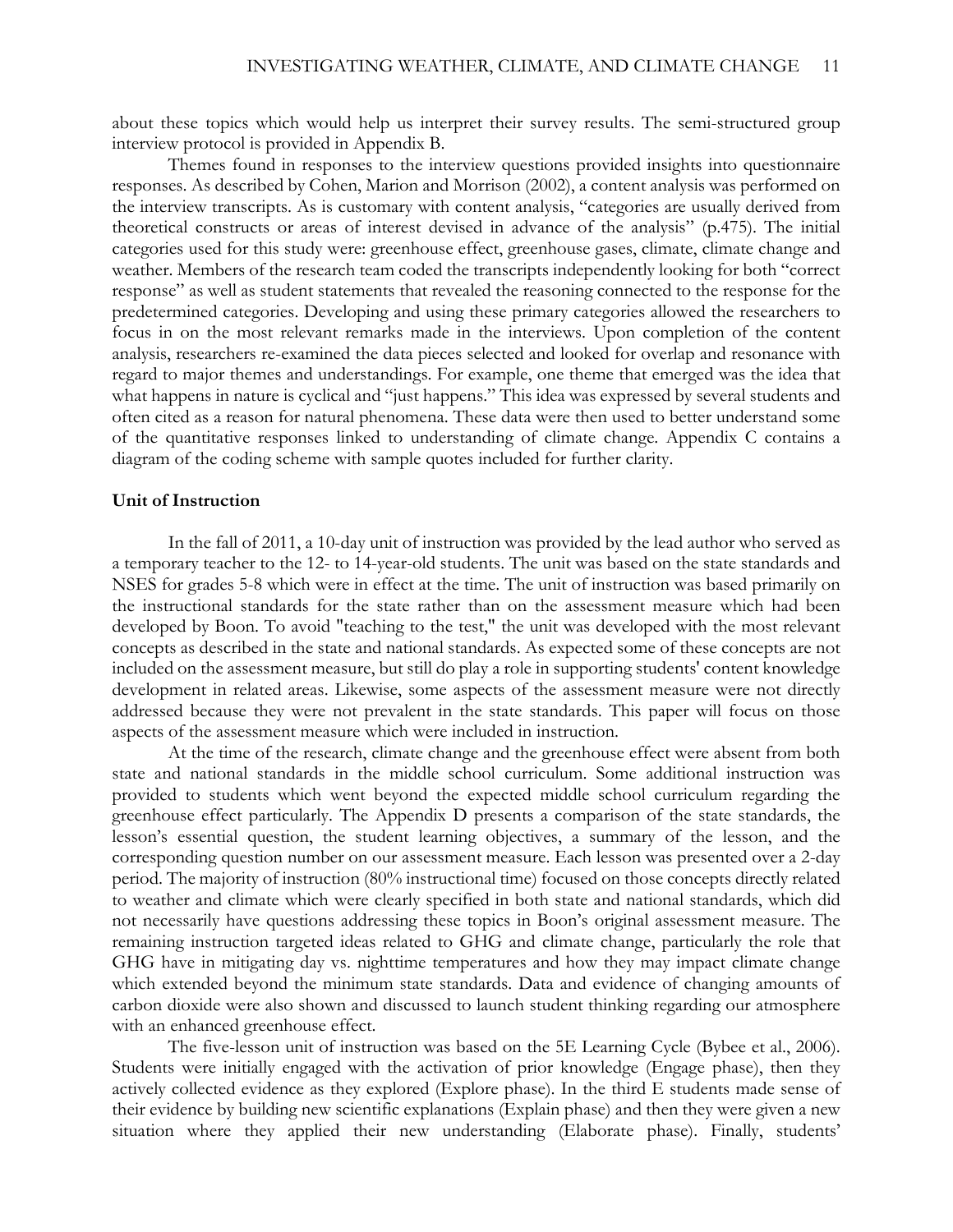about these topics which would help us interpret their survey results. The semi-structured group interview protocol is provided in Appendix B.

Themes found in responses to the interview questions provided insights into questionnaire responses. As described by Cohen, Marion and Morrison (2002), a content analysis was performed on the interview transcripts. As is customary with content analysis, "categories are usually derived from theoretical constructs or areas of interest devised in advance of the analysis" (p.475). The initial categories used for this study were: greenhouse effect, greenhouse gases, climate, climate change and weather. Members of the research team coded the transcripts independently looking for both "correct response" as well as student statements that revealed the reasoning connected to the response for the predetermined categories. Developing and using these primary categories allowed the researchers to focus in on the most relevant remarks made in the interviews. Upon completion of the content analysis, researchers re-examined the data pieces selected and looked for overlap and resonance with regard to major themes and understandings. For example, one theme that emerged was the idea that what happens in nature is cyclical and "just happens." This idea was expressed by several students and often cited as a reason for natural phenomena. These data were then used to better understand some of the quantitative responses linked to understanding of climate change. Appendix C contains a diagram of the coding scheme with sample quotes included for further clarity.

### **Unit of Instruction**

In the fall of 2011, a 10-day unit of instruction was provided by the lead author who served as a temporary teacher to the 12- to 14-year-old students. The unit was based on the state standards and NSES for grades 5-8 which were in effect at the time. The unit of instruction was based primarily on the instructional standards for the state rather than on the assessment measure which had been developed by Boon. To avoid "teaching to the test," the unit was developed with the most relevant concepts as described in the state and national standards. As expected some of these concepts are not included on the assessment measure, but still do play a role in supporting students' content knowledge development in related areas. Likewise, some aspects of the assessment measure were not directly addressed because they were not prevalent in the state standards. This paper will focus on those aspects of the assessment measure which were included in instruction.

At the time of the research, climate change and the greenhouse effect were absent from both state and national standards in the middle school curriculum. Some additional instruction was provided to students which went beyond the expected middle school curriculum regarding the greenhouse effect particularly. The Appendix D presents a comparison of the state standards, the lesson's essential question, the student learning objectives, a summary of the lesson, and the corresponding question number on our assessment measure. Each lesson was presented over a 2-day period. The majority of instruction (80% instructional time) focused on those concepts directly related to weather and climate which were clearly specified in both state and national standards, which did not necessarily have questions addressing these topics in Boon's original assessment measure. The remaining instruction targeted ideas related to GHG and climate change, particularly the role that GHG have in mitigating day vs. nighttime temperatures and how they may impact climate change which extended beyond the minimum state standards. Data and evidence of changing amounts of carbon dioxide were also shown and discussed to launch student thinking regarding our atmosphere with an enhanced greenhouse effect.

The five-lesson unit of instruction was based on the 5E Learning Cycle (Bybee et al., 2006). Students were initially engaged with the activation of prior knowledge (Engage phase), then they actively collected evidence as they explored (Explore phase). In the third E students made sense of their evidence by building new scientific explanations (Explain phase) and then they were given a new situation where they applied their new understanding (Elaborate phase). Finally, students'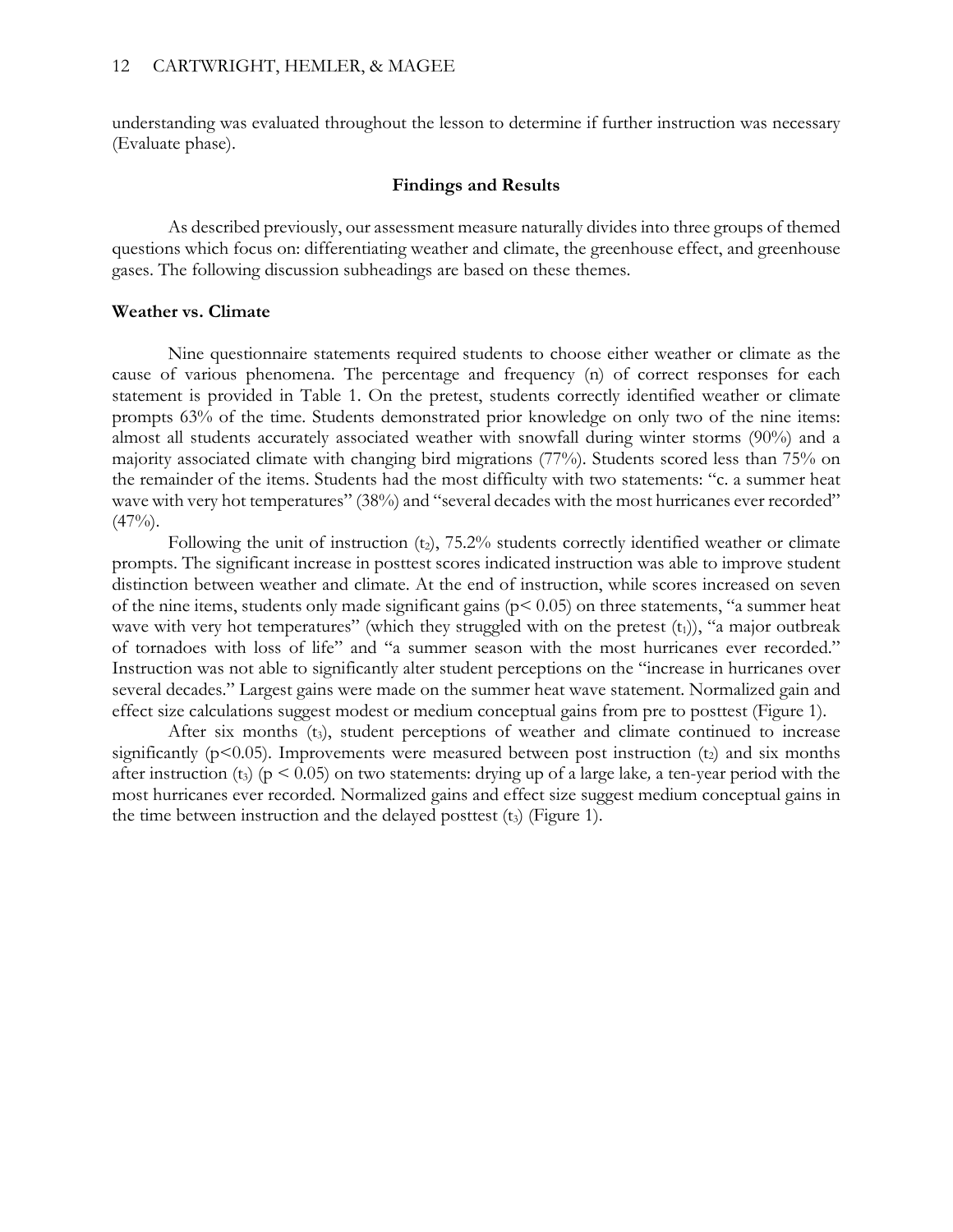understanding was evaluated throughout the lesson to determine if further instruction was necessary (Evaluate phase).

### **Findings and Results**

As described previously, our assessment measure naturally divides into three groups of themed questions which focus on: differentiating weather and climate, the greenhouse effect, and greenhouse gases. The following discussion subheadings are based on these themes.

### **Weather vs. Climate**

Nine questionnaire statements required students to choose either weather or climate as the cause of various phenomena. The percentage and frequency (n) of correct responses for each statement is provided in Table 1. On the pretest, students correctly identified weather or climate prompts 63% of the time. Students demonstrated prior knowledge on only two of the nine items: almost all students accurately associated weather with snowfall during winter storms (90%) and a majority associated climate with changing bird migrations (77%). Students scored less than 75% on the remainder of the items. Students had the most difficulty with two statements: "c. a summer heat wave with very hot temperatures" (38%) and "several decades with the most hurricanes ever recorded"  $(47\%)$ .

Following the unit of instruction  $(t_2)$ , 75.2% students correctly identified weather or climate prompts. The significant increase in posttest scores indicated instruction was able to improve student distinction between weather and climate. At the end of instruction, while scores increased on seven of the nine items, students only made significant gains ( $p < 0.05$ ) on three statements, "a summer heat wave with very hot temperatures" (which they struggled with on the pretest  $(t_1)$ ), "a major outbreak of tornadoes with loss of life" and "a summer season with the most hurricanes ever recorded." Instruction was not able to significantly alter student perceptions on the "increase in hurricanes over several decades." Largest gains were made on the summer heat wave statement. Normalized gain and effect size calculations suggest modest or medium conceptual gains from pre to posttest (Figure 1).

After six months  $(t_3)$ , student perceptions of weather and climate continued to increase significantly ( $p$ <0.05). Improvements were measured between post instruction ( $t<sub>2</sub>$ ) and six months after instruction (t<sub>3</sub>) ( $p < 0.05$ ) on two statements: drying up of a large lake, a ten-year period with the most hurricanes ever recorded*.* Normalized gains and effect size suggest medium conceptual gains in the time between instruction and the delayed posttest  $(t<sub>3</sub>)$  (Figure 1).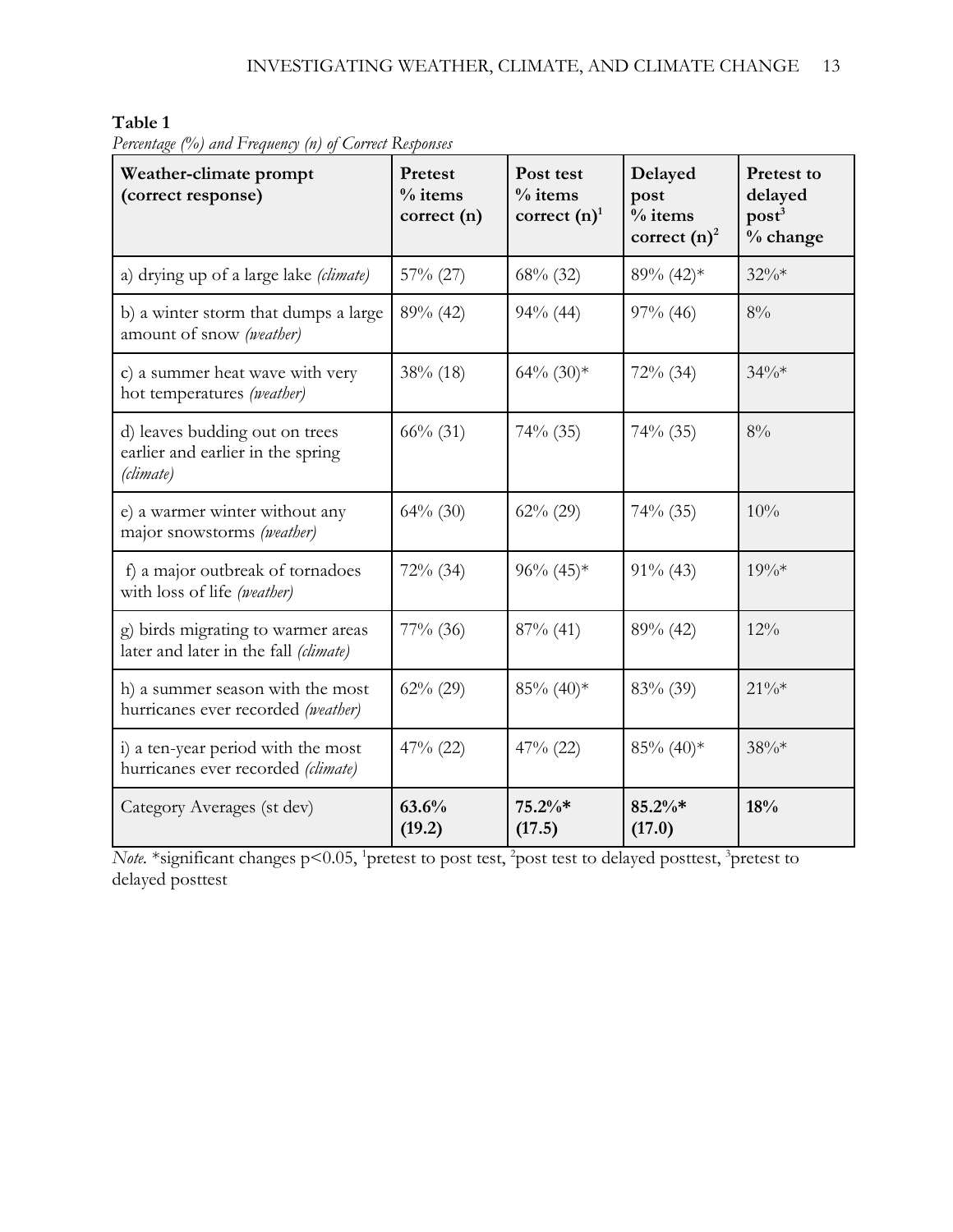| Table 1 |  |
|---------|--|
|---------|--|

| Weather-climate prompt<br>(correct response)                                     | Pretest<br>$%$ items<br>correct (n) | Post test<br>$%$ items<br>correct $(n)$ <sup>1</sup> | Delayed<br>post<br>$%$ items<br>correct $(n)^2$ | <b>Pretest to</b><br>delayed<br>$\text{post}^3$<br>% change |
|----------------------------------------------------------------------------------|-------------------------------------|------------------------------------------------------|-------------------------------------------------|-------------------------------------------------------------|
| a) drying up of a large lake (climate)                                           | $57\%$ (27)                         | 68% (32)                                             | 89% (42)*                                       | $32\%*$                                                     |
| b) a winter storm that dumps a large<br>amount of snow (weather)                 | $89\%$ (42)                         | $94\%$ (44)                                          | $97\%$ (46)                                     | 8%                                                          |
| c) a summer heat wave with very<br>hot temperatures (weather)                    | $38\%$ (18)                         | $64\%$ $(30)*$                                       | $72\%$ (34)                                     | $34\%*$                                                     |
| d) leaves budding out on trees<br>earlier and earlier in the spring<br>(climate) | $66\%$ (31)                         | $74\%$ (35)                                          | $74\%$ (35)                                     | 8%                                                          |
| e) a warmer winter without any<br>major snowstorms (weather)                     | $64\%$ (30)                         | $62\% (29)$                                          | $74\%$ (35)                                     | 10%                                                         |
| f) a major outbreak of tornadoes<br>with loss of life (weather)                  | $72\%$ (34)                         | $96\% (45)*$                                         | $91\%$ (43)                                     | $19\%*$                                                     |
| g) birds migrating to warmer areas<br>later and later in the fall (climate)      | $77\%$ (36)                         | $87\%$ (41)                                          | $89\%$ (42)                                     | 12%                                                         |
| h) a summer season with the most<br>hurricanes ever recorded (weather)           | $62\%$ (29)                         | $85\%$ (40) <sup>*</sup>                             | 83% (39)                                        | $21\%*$                                                     |
| i) a ten-year period with the most<br>hurricanes ever recorded (climate)         | $47\%$ (22)                         | $47\%$ (22)                                          | $85\%$ (40) <sup>*</sup>                        | 38%*                                                        |
| Category Averages (st dev)                                                       | 63.6%<br>(19.2)                     | $75.2\%*$<br>(17.5)                                  | 85.2%*<br>(17.0)                                | 18%                                                         |

*Percentage (%) and Frequency (n) of Correct Responses* 

*Note.* \*significant changes p<0.05, <sup>1</sup>pretest to post test, <sup>2</sup>post test to delayed posttest, <sup>3</sup>pretest to delayed posttest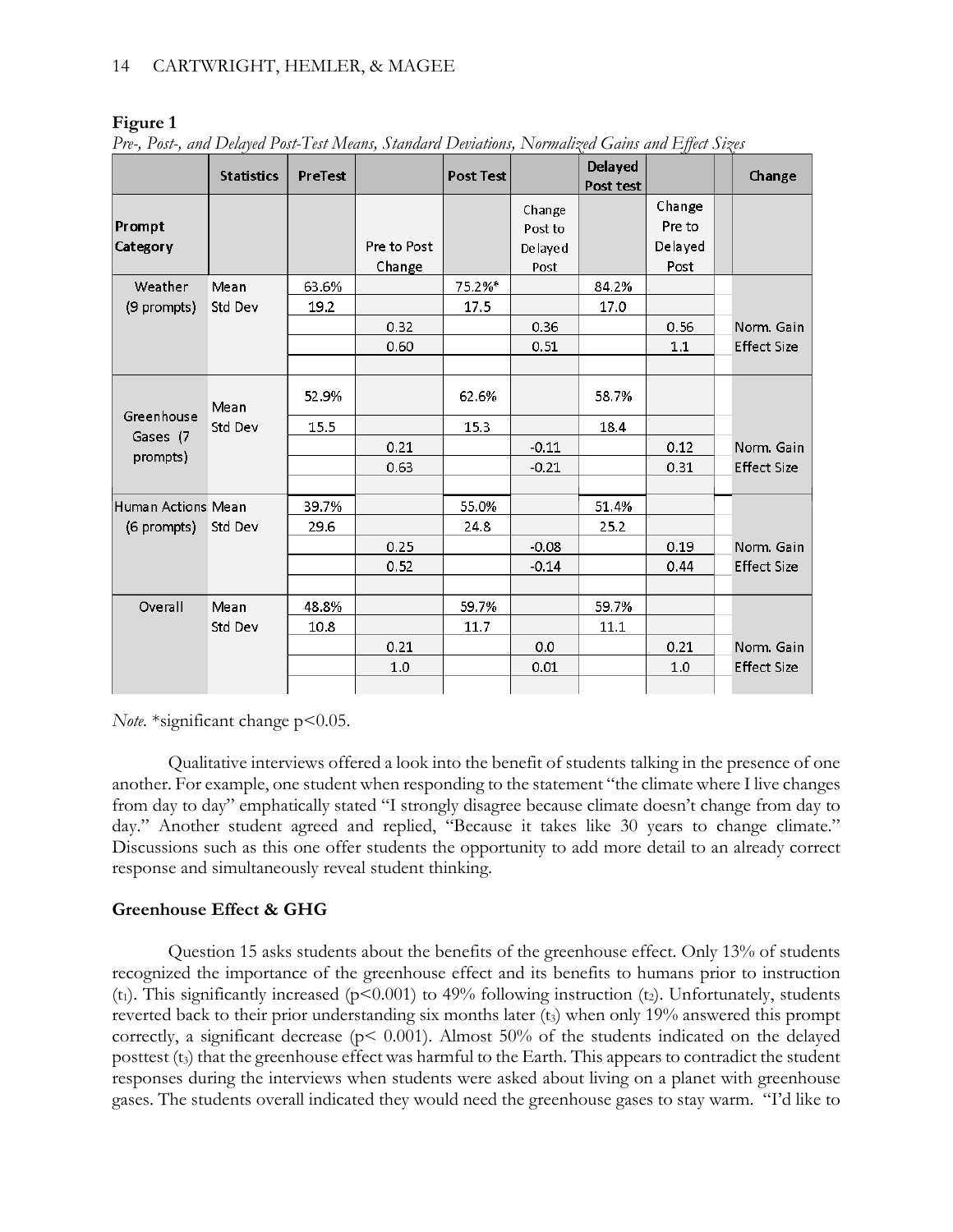|                    | <b>Statistics</b> | PreTest |                       | <b>Post Test</b> |                   | Delayed<br>Post test |                  | Change             |
|--------------------|-------------------|---------|-----------------------|------------------|-------------------|----------------------|------------------|--------------------|
| Prompt             |                   |         |                       |                  | Change<br>Post to |                      | Change<br>Pre to |                    |
| Category           |                   |         | Pre to Post<br>Change |                  | De laye d<br>Post |                      | Delayed<br>Post  |                    |
| Weather            | Mean              | 63.6%   |                       | 75.2%*           |                   | 84.2%                |                  |                    |
| (9 prompts)        | Std Dev           | 19.2    |                       | 17.5             |                   | 17.0                 |                  |                    |
|                    |                   |         | 0.32                  |                  | 0.36              |                      | 0.56             | Norm. Gain         |
|                    |                   |         | 0.60                  |                  | 0.51              |                      | 1.1              | <b>Effect Size</b> |
|                    |                   |         |                       |                  |                   |                      |                  |                    |
| Greenhouse         | Mean              | 52.9%   |                       | 62.6%            |                   | 58.7%                |                  |                    |
| Gases (7           | Std Dev           | 15.5    |                       | 15.3             |                   | 18.4                 |                  |                    |
|                    |                   |         | 0.21                  |                  | $-0.11$           |                      | 0.12             | Norm. Gain         |
| prompts)           |                   |         | 0.63                  |                  | $-0.21$           |                      | 0.31             | <b>Effect Size</b> |
|                    |                   |         |                       |                  |                   |                      |                  |                    |
| Human Actions Mean |                   | 39.7%   |                       | 55.0%            |                   | 51.4%                |                  |                    |
| (6 prompts)        | Std Dev           | 29.6    |                       | 24.8             |                   | 25.2                 |                  |                    |
|                    |                   |         | 0.25                  |                  | $-0.08$           |                      | 0.19             | Norm. Gain         |
|                    |                   |         | 0.52                  |                  | $-0.14$           |                      | 0.44             | <b>Effect Size</b> |
|                    |                   |         |                       |                  |                   |                      |                  |                    |
| Overall            | Mean              | 48.8%   |                       | 59.7%            |                   | 59.7%                |                  |                    |
|                    | Std Dev           | 10.8    |                       | 11.7             |                   | 11.1                 |                  |                    |
|                    |                   |         | 0.21                  |                  | 0.0               |                      | 0.21             | Norm. Gain         |
|                    |                   |         | 1.0                   |                  | 0.01              |                      | 1.0              | <b>Effect Size</b> |
|                    |                   |         |                       |                  |                   |                      |                  |                    |

### **Figure 1**

*Pre-, Post-, and Delayed Post-Test Means, Standard Deviations, Normalized Gains and Effect Sizes*

*Note.* \*significant change p<0.05.

Qualitative interviews offered a look into the benefit of students talking in the presence of one another. For example, one student when responding to the statement "the climate where I live changes from day to day" emphatically stated "I strongly disagree because climate doesn't change from day to day." Another student agreed and replied, "Because it takes like 30 years to change climate." Discussions such as this one offer students the opportunity to add more detail to an already correct response and simultaneously reveal student thinking.

## **Greenhouse Effect & GHG**

Question 15 asks students about the benefits of the greenhouse effect. Only 13% of students recognized the importance of the greenhouse effect and its benefits to humans prior to instruction  $(t_1)$ . This significantly increased (p<0.001) to 49% following instruction (t<sub>2</sub>). Unfortunately, students reverted back to their prior understanding six months later  $(t<sub>3</sub>)$  when only 19% answered this prompt correctly, a significant decrease ( $p$ < 0.001). Almost 50% of the students indicated on the delayed posttest (t3) that the greenhouse effect was harmful to the Earth. This appears to contradict the student responses during the interviews when students were asked about living on a planet with greenhouse gases. The students overall indicated they would need the greenhouse gases to stay warm. "I'd like to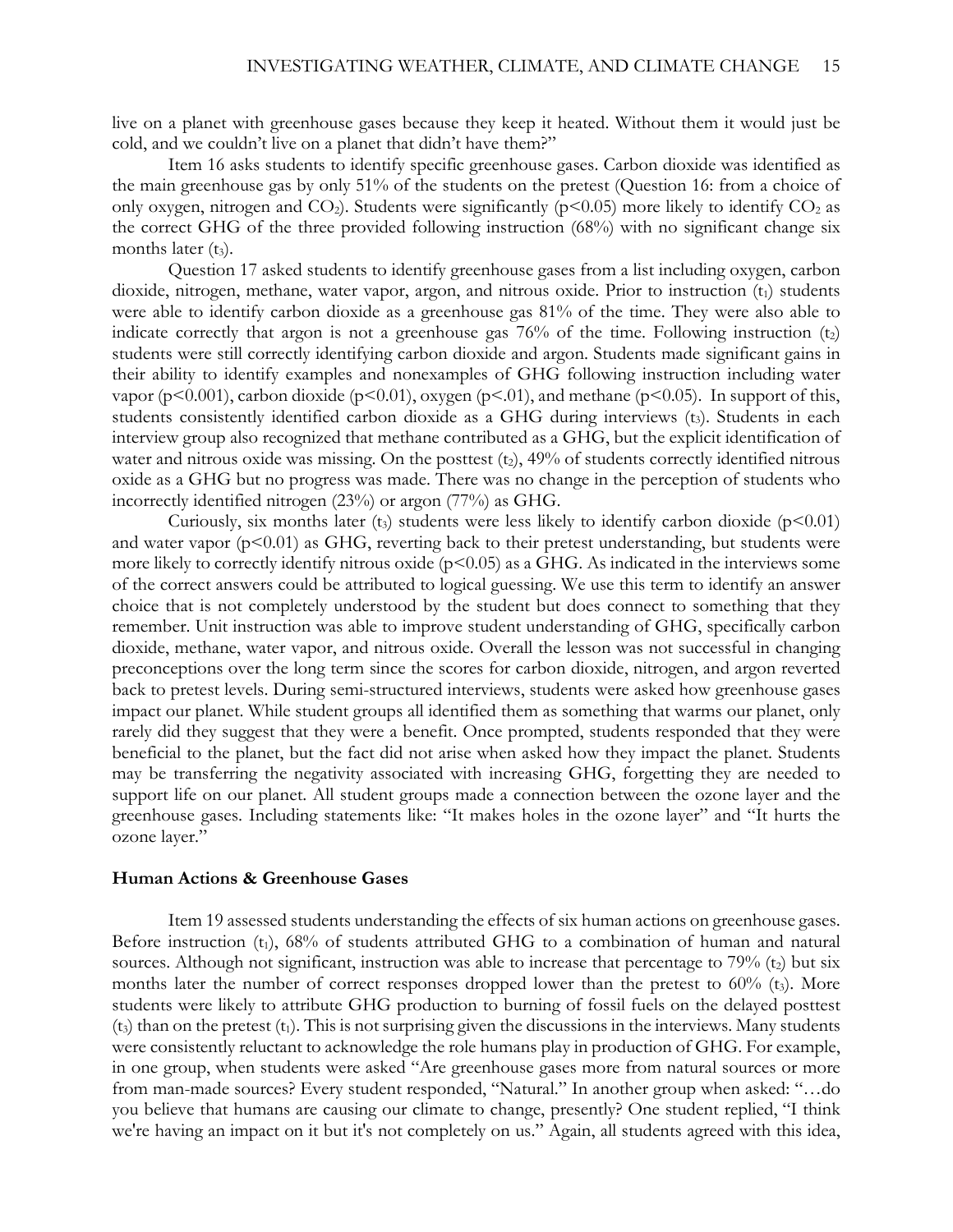live on a planet with greenhouse gases because they keep it heated. Without them it would just be cold, and we couldn't live on a planet that didn't have them?"

Item 16 asks students to identify specific greenhouse gases. Carbon dioxide was identified as the main greenhouse gas by only 51% of the students on the pretest (Question 16: from a choice of only oxygen, nitrogen and  $CO<sub>2</sub>$ ). Students were significantly ( $p<0.05$ ) more likely to identify  $CO<sub>2</sub>$  as the correct GHG of the three provided following instruction (68%) with no significant change six months later  $(t_3)$ .

Question 17 asked students to identify greenhouse gases from a list including oxygen, carbon dioxide, nitrogen, methane, water vapor, argon, and nitrous oxide. Prior to instruction (t<sub>1</sub>) students were able to identify carbon dioxide as a greenhouse gas 81% of the time. They were also able to indicate correctly that argon is not a greenhouse gas  $76%$  of the time. Following instruction  $(t<sub>2</sub>)$ students were still correctly identifying carbon dioxide and argon. Students made significant gains in their ability to identify examples and nonexamples of GHG following instruction including water vapor ( $p<0.001$ ), carbon dioxide ( $p<0.01$ ), oxygen ( $p<0.1$ ), and methane ( $p<0.05$ ). In support of this, students consistently identified carbon dioxide as a GHG during interviews (t<sub>3</sub>). Students in each interview group also recognized that methane contributed as a GHG, but the explicit identification of water and nitrous oxide was missing. On the posttest  $(t_2)$ ,  $49\%$  of students correctly identified nitrous oxide as a GHG but no progress was made. There was no change in the perception of students who incorrectly identified nitrogen (23%) or argon (77%) as GHG.

Curiously, six months later (t<sub>3</sub>) students were less likely to identify carbon dioxide ( $p$ <0.01) and water vapor  $(p<0.01)$  as GHG, reverting back to their pretest understanding, but students were more likely to correctly identify nitrous oxide (p<0.05) as a GHG. As indicated in the interviews some of the correct answers could be attributed to logical guessing. We use this term to identify an answer choice that is not completely understood by the student but does connect to something that they remember. Unit instruction was able to improve student understanding of GHG, specifically carbon dioxide, methane, water vapor, and nitrous oxide. Overall the lesson was not successful in changing preconceptions over the long term since the scores for carbon dioxide, nitrogen, and argon reverted back to pretest levels. During semi-structured interviews, students were asked how greenhouse gases impact our planet. While student groups all identified them as something that warms our planet, only rarely did they suggest that they were a benefit. Once prompted, students responded that they were beneficial to the planet, but the fact did not arise when asked how they impact the planet. Students may be transferring the negativity associated with increasing GHG, forgetting they are needed to support life on our planet. All student groups made a connection between the ozone layer and the greenhouse gases. Including statements like: "It makes holes in the ozone layer" and "It hurts the ozone layer."

#### **Human Actions & Greenhouse Gases**

Item 19 assessed students understanding the effects of six human actions on greenhouse gases. Before instruction (t<sub>1</sub>), 68% of students attributed GHG to a combination of human and natural sources. Although not significant, instruction was able to increase that percentage to  $79\%$  (t<sub>2</sub>) but six months later the number of correct responses dropped lower than the pretest to  $60\%$  (t<sub>3</sub>). More students were likely to attribute GHG production to burning of fossil fuels on the delayed posttest  $(t<sub>3</sub>)$  than on the pretest  $(t<sub>1</sub>)$ . This is not surprising given the discussions in the interviews. Many students were consistently reluctant to acknowledge the role humans play in production of GHG. For example, in one group, when students were asked "Are greenhouse gases more from natural sources or more from man-made sources? Every student responded, "Natural." In another group when asked: "…do you believe that humans are causing our climate to change, presently? One student replied, "I think we're having an impact on it but it's not completely on us." Again, all students agreed with this idea,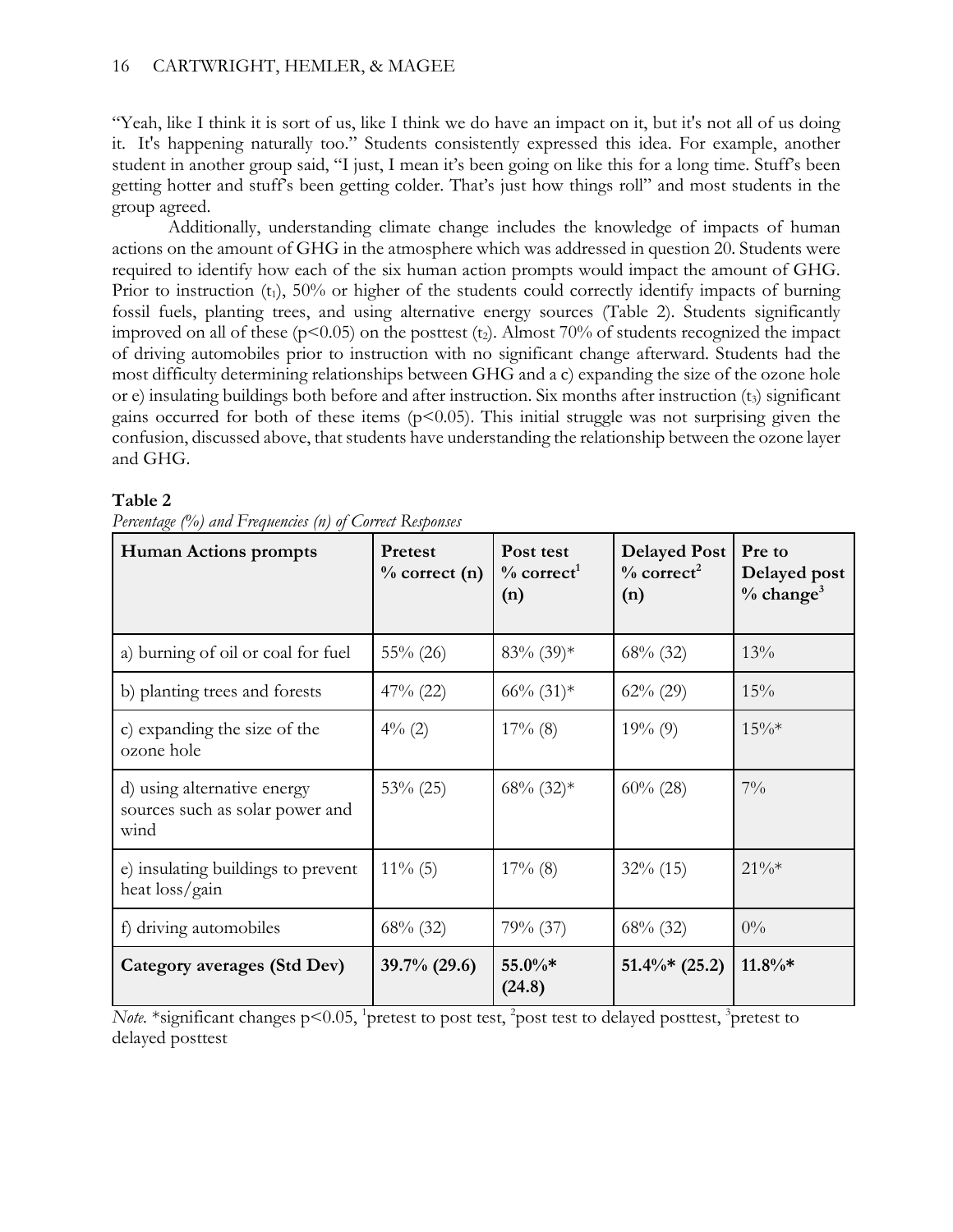### 16 CARTWRIGHT, HEMLER, & MAGEE

"Yeah, like I think it is sort of us, like I think we do have an impact on it, but it's not all of us doing it. It's happening naturally too." Students consistently expressed this idea. For example, another student in another group said, "I just, I mean it's been going on like this for a long time. Stuff's been getting hotter and stuff's been getting colder. That's just how things roll" and most students in the group agreed.

Additionally, understanding climate change includes the knowledge of impacts of human actions on the amount of GHG in the atmosphere which was addressed in question 20. Students were required to identify how each of the six human action prompts would impact the amount of GHG. Prior to instruction  $(t_1)$ , 50% or higher of the students could correctly identify impacts of burning fossil fuels, planting trees, and using alternative energy sources (Table 2). Students significantly improved on all of these ( $p$ <0.05) on the posttest (t<sub>2</sub>). Almost 70% of students recognized the impact of driving automobiles prior to instruction with no significant change afterward. Students had the most difficulty determining relationships between GHG and a c) expanding the size of the ozone hole or e) insulating buildings both before and after instruction. Six months after instruction (t3) significant gains occurred for both of these items  $(p<0.05)$ . This initial struggle was not surprising given the confusion, discussed above, that students have understanding the relationship between the ozone layer and GHG.

### **Table 2**

| <b>Human Actions prompts</b>                                           | <b>Pretest</b><br>$\%$ correct (n) | Post test<br>$\%$ correct <sup>1</sup><br>(n) | <b>Delayed Post</b><br>$\%$ correct <sup>2</sup><br>(n) | Pre to<br>Delayed post<br>$\%$ change <sup>3</sup> |
|------------------------------------------------------------------------|------------------------------------|-----------------------------------------------|---------------------------------------------------------|----------------------------------------------------|
| a) burning of oil or coal for fuel                                     | $55\%$ (26)                        | $83\%$ (39)*                                  | $68\%$ (32)                                             | 13%                                                |
| b) planting trees and forests                                          | $47\%$ (22)                        | $66\% (31)$ *                                 | $62\% (29)$                                             | 15%                                                |
| c) expanding the size of the<br>ozone hole                             | $4\%$ (2)                          | $17\%$ (8)                                    | $19\%$ (9)                                              | $15\%*$                                            |
| d) using alternative energy<br>sources such as solar power and<br>wind | $53\% (25)$                        | $68\%$ $(32)*$                                | $60\% (28)$                                             | $7\%$                                              |
| e) insulating buildings to prevent<br>heat loss/gain                   | $11\%$ (5)                         | $17\%$ (8)                                    | $32\%$ (15)                                             | $21\%*$                                            |
| f) driving automobiles                                                 | $68\%$ (32)                        | $79\%$ (37)                                   | $68\%$ (32)                                             | $0\%$                                              |
| Category averages (Std Dev)                                            | $39.7\%$ (29.6)                    | $55.0\%*$<br>(24.8)                           | $51.4\%*$ (25.2)                                        | $11.8\%*$                                          |

*Percentage (%) and Frequencies (n) of Correct Responses*

*Note.* \*significant changes p<0.05, <sup>1</sup>pretest to post test, <sup>2</sup>post test to delayed posttest, <sup>3</sup>pretest to delayed posttest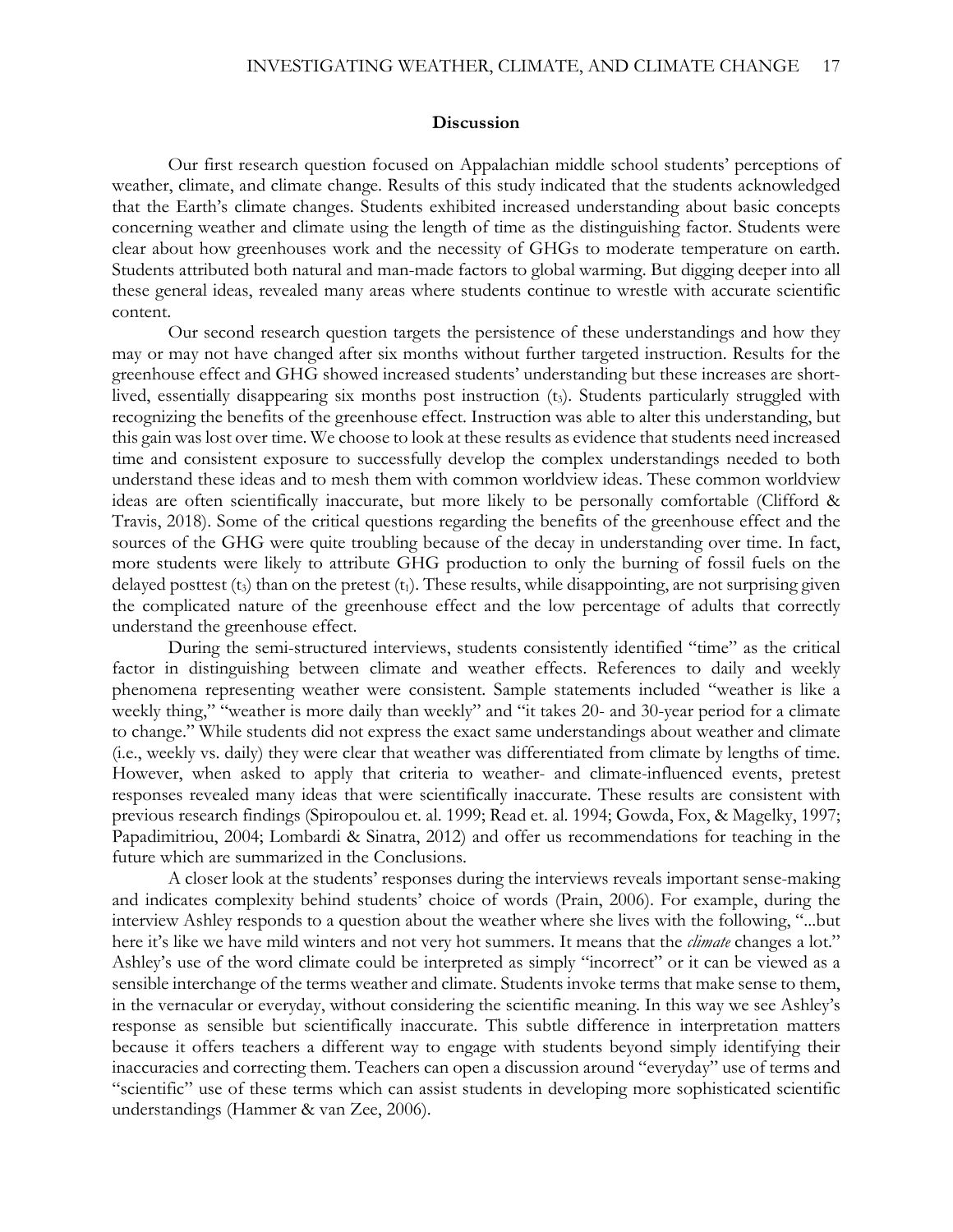#### **Discussion**

Our first research question focused on Appalachian middle school students' perceptions of weather, climate, and climate change. Results of this study indicated that the students acknowledged that the Earth's climate changes. Students exhibited increased understanding about basic concepts concerning weather and climate using the length of time as the distinguishing factor. Students were clear about how greenhouses work and the necessity of GHGs to moderate temperature on earth. Students attributed both natural and man-made factors to global warming. But digging deeper into all these general ideas, revealed many areas where students continue to wrestle with accurate scientific content.

Our second research question targets the persistence of these understandings and how they may or may not have changed after six months without further targeted instruction. Results for the greenhouse effect and GHG showed increased students' understanding but these increases are shortlived, essentially disappearing six months post instruction (t3). Students particularly struggled with recognizing the benefits of the greenhouse effect. Instruction was able to alter this understanding, but this gain was lost over time. We choose to look at these results as evidence that students need increased time and consistent exposure to successfully develop the complex understandings needed to both understand these ideas and to mesh them with common worldview ideas. These common worldview ideas are often scientifically inaccurate, but more likely to be personally comfortable (Clifford & Travis, 2018). Some of the critical questions regarding the benefits of the greenhouse effect and the sources of the GHG were quite troubling because of the decay in understanding over time. In fact, more students were likely to attribute GHG production to only the burning of fossil fuels on the delayed posttest  $(t_3)$  than on the pretest  $(t_1)$ . These results, while disappointing, are not surprising given the complicated nature of the greenhouse effect and the low percentage of adults that correctly understand the greenhouse effect.

During the semi-structured interviews, students consistently identified "time" as the critical factor in distinguishing between climate and weather effects. References to daily and weekly phenomena representing weather were consistent. Sample statements included "weather is like a weekly thing," "weather is more daily than weekly" and "it takes 20- and 30-year period for a climate to change." While students did not express the exact same understandings about weather and climate (i.e., weekly vs. daily) they were clear that weather was differentiated from climate by lengths of time. However, when asked to apply that criteria to weather- and climate-influenced events, pretest responses revealed many ideas that were scientifically inaccurate. These results are consistent with previous research findings (Spiropoulou et. al. 1999; Read et. al. 1994; Gowda, Fox, & Magelky, 1997; Papadimitriou, 2004; Lombardi & Sinatra, 2012) and offer us recommendations for teaching in the future which are summarized in the Conclusions.

A closer look at the students' responses during the interviews reveals important sense-making and indicates complexity behind students' choice of words (Prain, 2006). For example, during the interview Ashley responds to a question about the weather where she lives with the following, "...but here it's like we have mild winters and not very hot summers. It means that the *climate* changes a lot." Ashley's use of the word climate could be interpreted as simply "incorrect" or it can be viewed as a sensible interchange of the terms weather and climate. Students invoke terms that make sense to them, in the vernacular or everyday, without considering the scientific meaning. In this way we see Ashley's response as sensible but scientifically inaccurate. This subtle difference in interpretation matters because it offers teachers a different way to engage with students beyond simply identifying their inaccuracies and correcting them. Teachers can open a discussion around "everyday" use of terms and "scientific" use of these terms which can assist students in developing more sophisticated scientific understandings (Hammer & van Zee, 2006).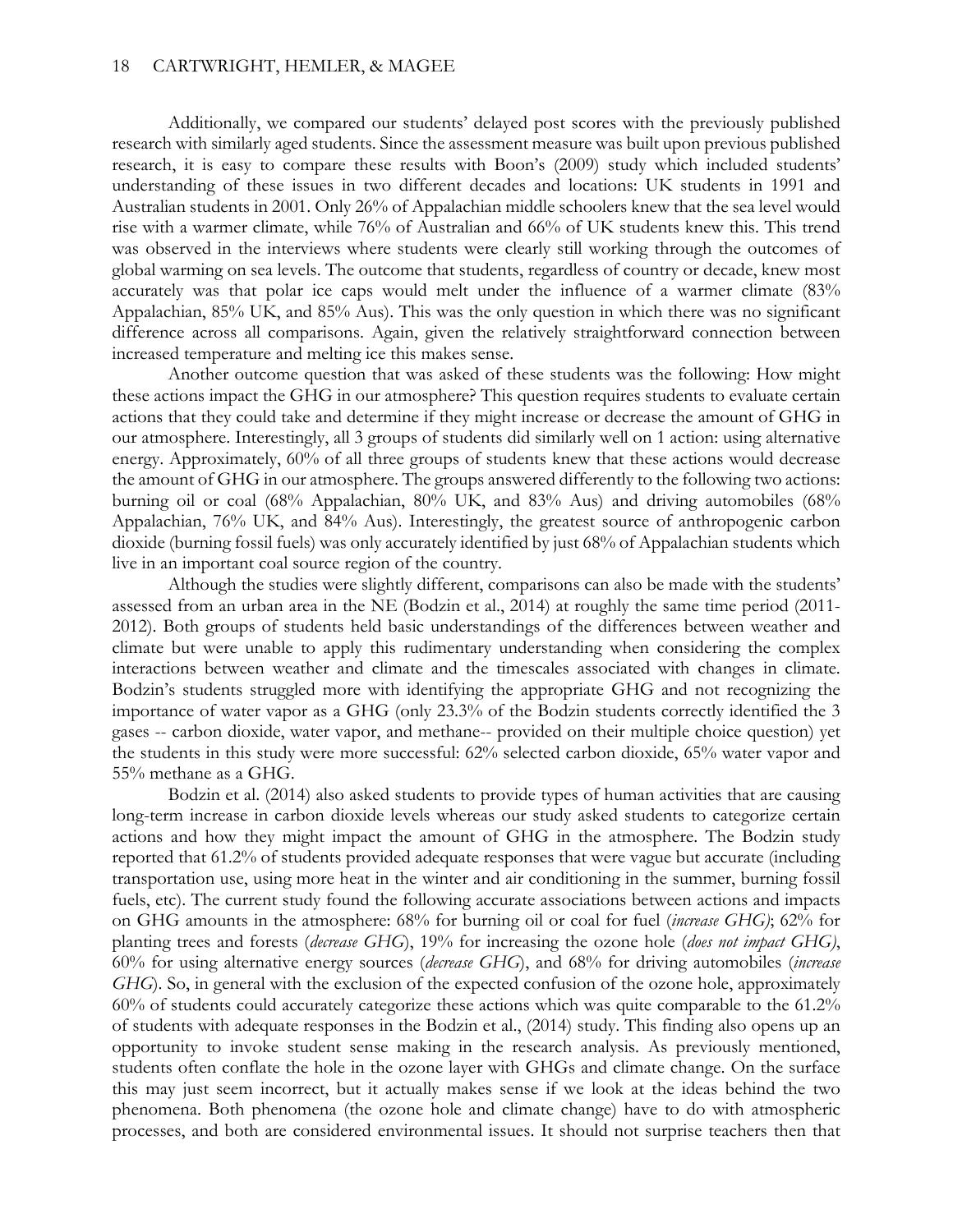Additionally, we compared our students' delayed post scores with the previously published research with similarly aged students. Since the assessment measure was built upon previous published research, it is easy to compare these results with Boon's (2009) study which included students' understanding of these issues in two different decades and locations: UK students in 1991 and Australian students in 2001. Only 26% of Appalachian middle schoolers knew that the sea level would rise with a warmer climate, while 76% of Australian and 66% of UK students knew this. This trend was observed in the interviews where students were clearly still working through the outcomes of global warming on sea levels. The outcome that students, regardless of country or decade, knew most accurately was that polar ice caps would melt under the influence of a warmer climate (83% Appalachian, 85% UK, and 85% Aus). This was the only question in which there was no significant difference across all comparisons. Again, given the relatively straightforward connection between increased temperature and melting ice this makes sense.

Another outcome question that was asked of these students was the following: How might these actions impact the GHG in our atmosphere? This question requires students to evaluate certain actions that they could take and determine if they might increase or decrease the amount of GHG in our atmosphere. Interestingly, all 3 groups of students did similarly well on 1 action: using alternative energy. Approximately, 60% of all three groups of students knew that these actions would decrease the amount of GHG in our atmosphere. The groups answered differently to the following two actions: burning oil or coal (68% Appalachian, 80% UK, and 83% Aus) and driving automobiles (68% Appalachian, 76% UK, and 84% Aus). Interestingly, the greatest source of anthropogenic carbon dioxide (burning fossil fuels) was only accurately identified by just 68% of Appalachian students which live in an important coal source region of the country.

Although the studies were slightly different, comparisons can also be made with the students' assessed from an urban area in the NE (Bodzin et al., 2014) at roughly the same time period (2011- 2012). Both groups of students held basic understandings of the differences between weather and climate but were unable to apply this rudimentary understanding when considering the complex interactions between weather and climate and the timescales associated with changes in climate. Bodzin's students struggled more with identifying the appropriate GHG and not recognizing the importance of water vapor as a GHG (only 23.3% of the Bodzin students correctly identified the 3 gases -- carbon dioxide, water vapor, and methane-- provided on their multiple choice question) yet the students in this study were more successful: 62% selected carbon dioxide, 65% water vapor and 55% methane as a GHG.

Bodzin et al. (2014) also asked students to provide types of human activities that are causing long-term increase in carbon dioxide levels whereas our study asked students to categorize certain actions and how they might impact the amount of GHG in the atmosphere. The Bodzin study reported that 61.2% of students provided adequate responses that were vague but accurate (including transportation use, using more heat in the winter and air conditioning in the summer, burning fossil fuels, etc). The current study found the following accurate associations between actions and impacts on GHG amounts in the atmosphere: 68% for burning oil or coal for fuel (*increase GHG)*; 62% for planting trees and forests (*decrease GHG*), 19% for increasing the ozone hole (*does not impact GHG)*, 60% for using alternative energy sources (*decrease GHG*), and 68% for driving automobiles (*increase GHG*). So, in general with the exclusion of the expected confusion of the ozone hole, approximately 60% of students could accurately categorize these actions which was quite comparable to the 61.2% of students with adequate responses in the Bodzin et al., (2014) study. This finding also opens up an opportunity to invoke student sense making in the research analysis. As previously mentioned, students often conflate the hole in the ozone layer with GHGs and climate change. On the surface this may just seem incorrect, but it actually makes sense if we look at the ideas behind the two phenomena. Both phenomena (the ozone hole and climate change) have to do with atmospheric processes, and both are considered environmental issues. It should not surprise teachers then that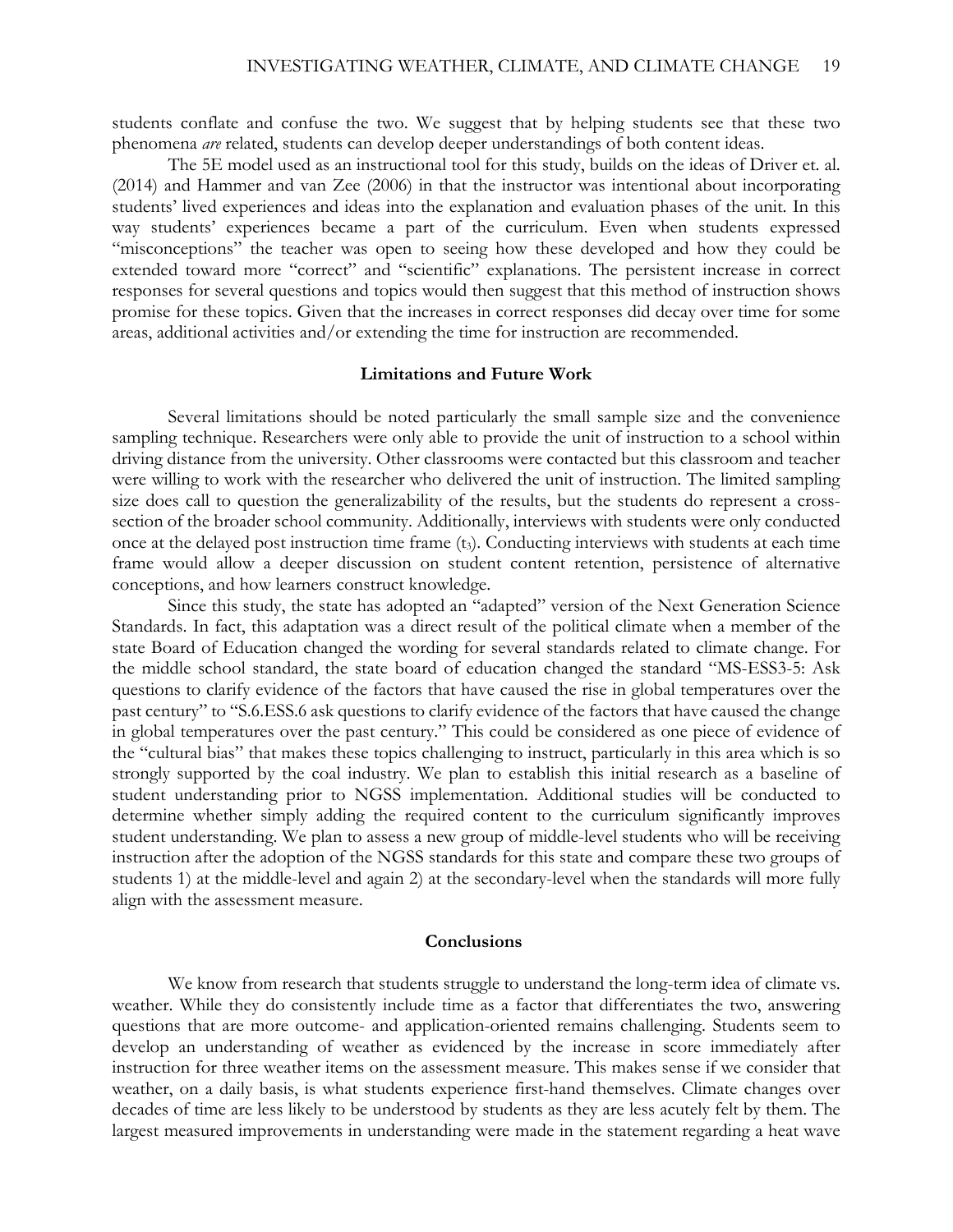students conflate and confuse the two. We suggest that by helping students see that these two phenomena *are* related, students can develop deeper understandings of both content ideas.

The 5E model used as an instructional tool for this study, builds on the ideas of Driver et. al. (2014) and Hammer and van Zee (2006) in that the instructor was intentional about incorporating students' lived experiences and ideas into the explanation and evaluation phases of the unit. In this way students' experiences became a part of the curriculum. Even when students expressed "misconceptions" the teacher was open to seeing how these developed and how they could be extended toward more "correct" and "scientific" explanations. The persistent increase in correct responses for several questions and topics would then suggest that this method of instruction shows promise for these topics. Given that the increases in correct responses did decay over time for some areas, additional activities and/or extending the time for instruction are recommended.

### **Limitations and Future Work**

Several limitations should be noted particularly the small sample size and the convenience sampling technique. Researchers were only able to provide the unit of instruction to a school within driving distance from the university. Other classrooms were contacted but this classroom and teacher were willing to work with the researcher who delivered the unit of instruction. The limited sampling size does call to question the generalizability of the results, but the students do represent a crosssection of the broader school community. Additionally, interviews with students were only conducted once at the delayed post instruction time frame (t3). Conducting interviews with students at each time frame would allow a deeper discussion on student content retention, persistence of alternative conceptions, and how learners construct knowledge.

Since this study, the state has adopted an "adapted" version of the Next Generation Science Standards. In fact, this adaptation was a direct result of the political climate when a member of the state Board of Education changed the wording for several standards related to climate change. For the middle school standard, the state board of education changed the standard "MS-ESS3-5: Ask questions to clarify evidence of the factors that have caused the rise in global temperatures over the past century" to "S.6.ESS.6 ask questions to clarify evidence of the factors that have caused the change in global temperatures over the past century." This could be considered as one piece of evidence of the "cultural bias" that makes these topics challenging to instruct, particularly in this area which is so strongly supported by the coal industry. We plan to establish this initial research as a baseline of student understanding prior to NGSS implementation. Additional studies will be conducted to determine whether simply adding the required content to the curriculum significantly improves student understanding. We plan to assess a new group of middle-level students who will be receiving instruction after the adoption of the NGSS standards for this state and compare these two groups of students 1) at the middle-level and again 2) at the secondary-level when the standards will more fully align with the assessment measure.

### **Conclusions**

We know from research that students struggle to understand the long-term idea of climate vs. weather. While they do consistently include time as a factor that differentiates the two, answering questions that are more outcome- and application-oriented remains challenging. Students seem to develop an understanding of weather as evidenced by the increase in score immediately after instruction for three weather items on the assessment measure. This makes sense if we consider that weather, on a daily basis, is what students experience first-hand themselves. Climate changes over decades of time are less likely to be understood by students as they are less acutely felt by them. The largest measured improvements in understanding were made in the statement regarding a heat wave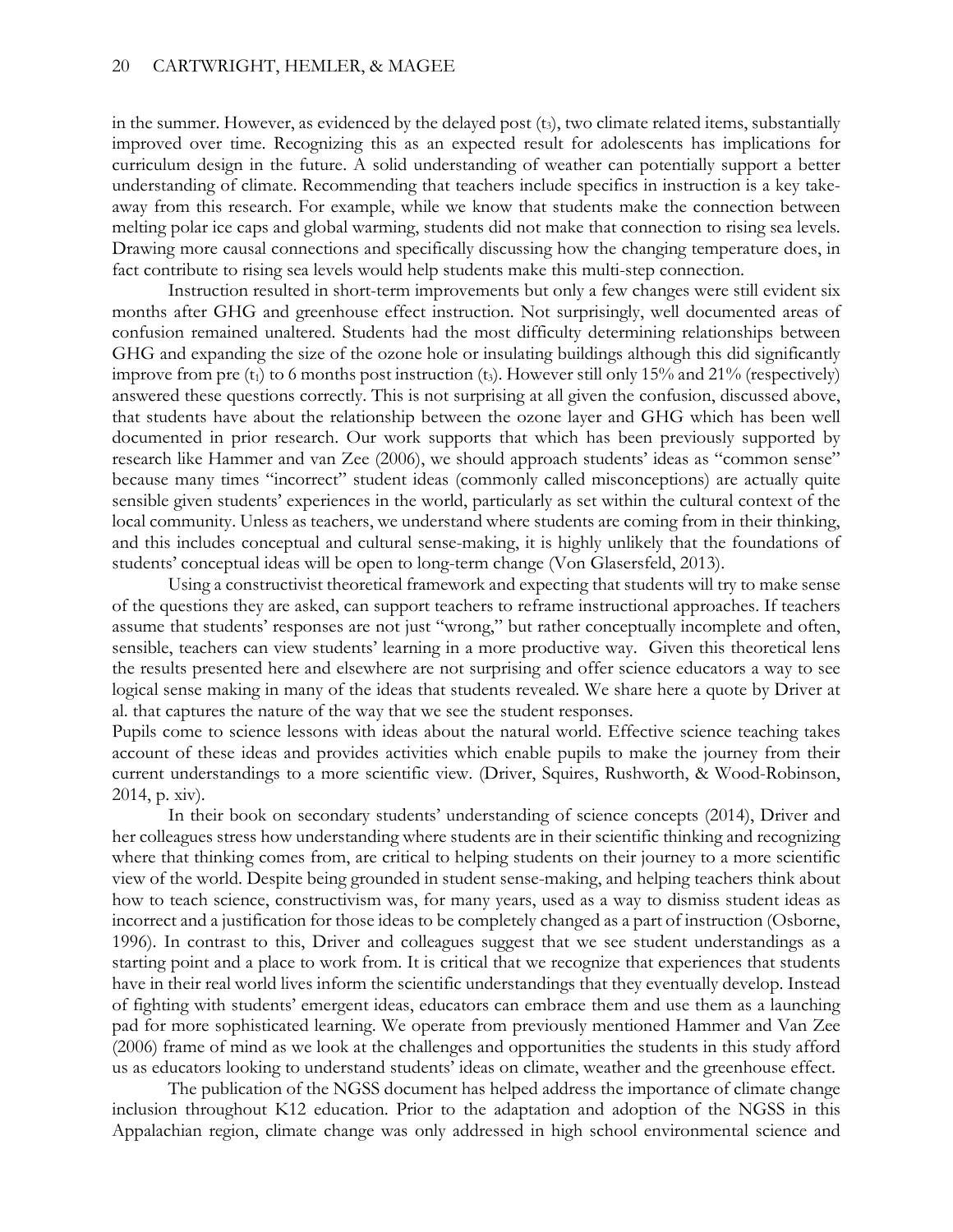in the summer. However, as evidenced by the delayed post  $(t<sub>3</sub>)$ , two climate related items, substantially improved over time. Recognizing this as an expected result for adolescents has implications for curriculum design in the future. A solid understanding of weather can potentially support a better understanding of climate. Recommending that teachers include specifics in instruction is a key takeaway from this research. For example, while we know that students make the connection between melting polar ice caps and global warming, students did not make that connection to rising sea levels. Drawing more causal connections and specifically discussing how the changing temperature does, in fact contribute to rising sea levels would help students make this multi-step connection.

Instruction resulted in short-term improvements but only a few changes were still evident six months after GHG and greenhouse effect instruction. Not surprisingly, well documented areas of confusion remained unaltered. Students had the most difficulty determining relationships between GHG and expanding the size of the ozone hole or insulating buildings although this did significantly improve from pre  $(t_1)$  to 6 months post instruction  $(t_3)$ . However still only 15% and 21% (respectively) answered these questions correctly. This is not surprising at all given the confusion, discussed above, that students have about the relationship between the ozone layer and GHG which has been well documented in prior research. Our work supports that which has been previously supported by research like Hammer and van Zee (2006), we should approach students' ideas as "common sense" because many times "incorrect" student ideas (commonly called misconceptions) are actually quite sensible given students' experiences in the world, particularly as set within the cultural context of the local community. Unless as teachers, we understand where students are coming from in their thinking, and this includes conceptual and cultural sense-making, it is highly unlikely that the foundations of students' conceptual ideas will be open to long-term change (Von Glasersfeld, 2013).

Using a constructivist theoretical framework and expecting that students will try to make sense of the questions they are asked, can support teachers to reframe instructional approaches. If teachers assume that students' responses are not just "wrong," but rather conceptually incomplete and often, sensible, teachers can view students' learning in a more productive way. Given this theoretical lens the results presented here and elsewhere are not surprising and offer science educators a way to see logical sense making in many of the ideas that students revealed. We share here a quote by Driver at al. that captures the nature of the way that we see the student responses.

Pupils come to science lessons with ideas about the natural world. Effective science teaching takes account of these ideas and provides activities which enable pupils to make the journey from their current understandings to a more scientific view. (Driver, Squires, Rushworth, & Wood-Robinson, 2014, p. xiv).

In their book on secondary students' understanding of science concepts (2014), Driver and her colleagues stress how understanding where students are in their scientific thinking and recognizing where that thinking comes from, are critical to helping students on their journey to a more scientific view of the world. Despite being grounded in student sense-making, and helping teachers think about how to teach science, constructivism was, for many years, used as a way to dismiss student ideas as incorrect and a justification for those ideas to be completely changed as a part of instruction (Osborne, 1996). In contrast to this, Driver and colleagues suggest that we see student understandings as a starting point and a place to work from. It is critical that we recognize that experiences that students have in their real world lives inform the scientific understandings that they eventually develop. Instead of fighting with students' emergent ideas, educators can embrace them and use them as a launching pad for more sophisticated learning. We operate from previously mentioned Hammer and Van Zee (2006) frame of mind as we look at the challenges and opportunities the students in this study afford us as educators looking to understand students' ideas on climate, weather and the greenhouse effect.

The publication of the NGSS document has helped address the importance of climate change inclusion throughout K12 education. Prior to the adaptation and adoption of the NGSS in this Appalachian region, climate change was only addressed in high school environmental science and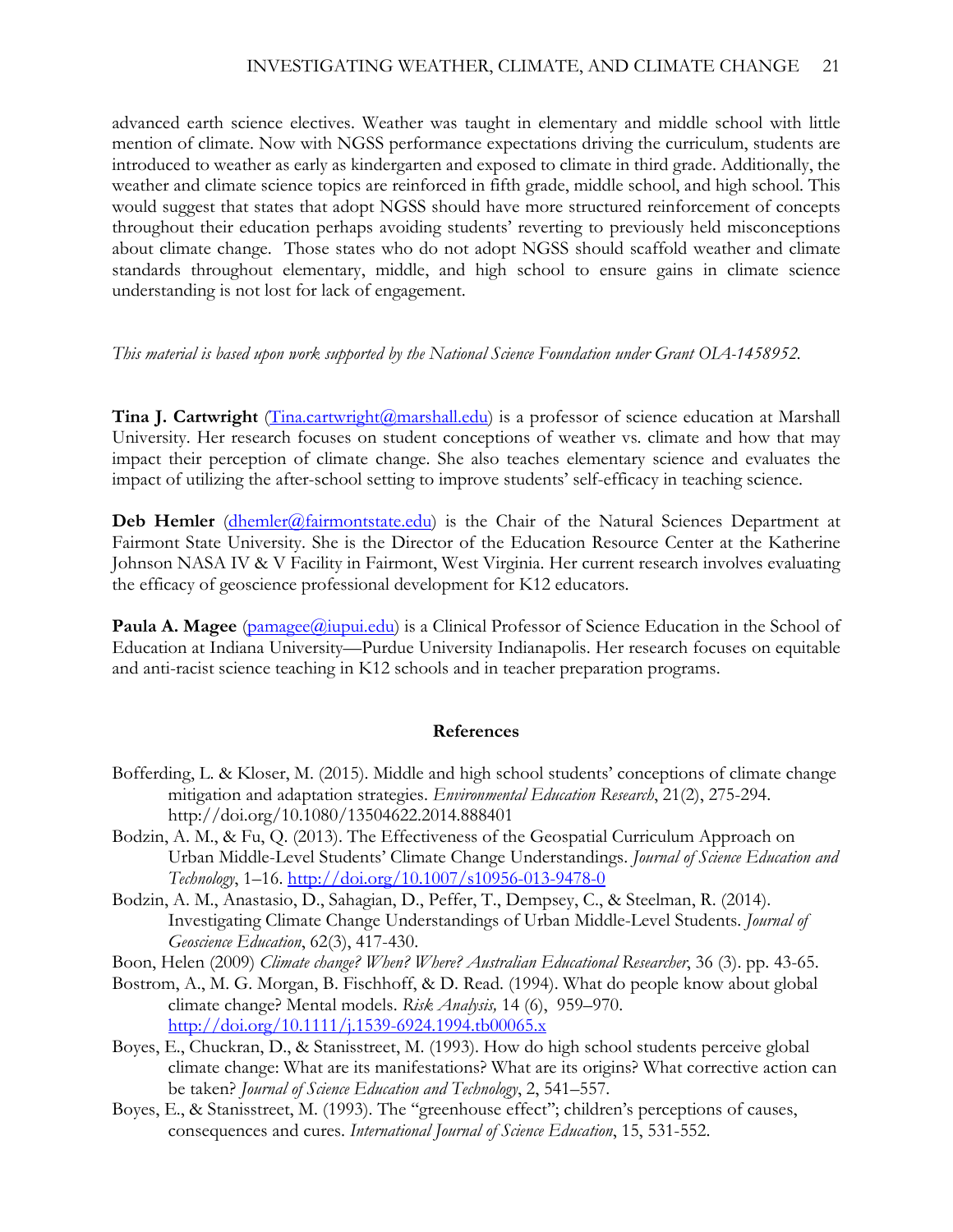advanced earth science electives. Weather was taught in elementary and middle school with little mention of climate. Now with NGSS performance expectations driving the curriculum, students are introduced to weather as early as kindergarten and exposed to climate in third grade. Additionally, the weather and climate science topics are reinforced in fifth grade, middle school, and high school. This would suggest that states that adopt NGSS should have more structured reinforcement of concepts throughout their education perhaps avoiding students' reverting to previously held misconceptions about climate change. Those states who do not adopt NGSS should scaffold weather and climate standards throughout elementary, middle, and high school to ensure gains in climate science understanding is not lost for lack of engagement.

### *This material is based upon work supported by the National Science Foundation under Grant OIA-1458952.*

**Tina J. Cartwright** (*Tina.cartwright*(*Qmarshall.edu*) is a professor of science education at Marshall University. Her research focuses on student conceptions of weather vs. climate and how that may impact their perception of climate change. She also teaches elementary science and evaluates the impact of utilizing the after-school setting to improve students' self-efficacy in teaching science.

**Deb Hemler** (*dhemler@fairmontstate.edu*) is the Chair of the Natural Sciences Department at Fairmont State University. She is the Director of the Education Resource Center at the Katherine Johnson NASA IV & V Facility in Fairmont, West Virginia. Her current research involves evaluating the efficacy of geoscience professional development for K12 educators.

Paula A. Magee [\(pamagee@iupui.edu\)](mailto:pamagee@iupui.edu) is a Clinical Professor of Science Education in the School of Education at Indiana University—Purdue University Indianapolis. Her research focuses on equitable and anti-racist science teaching in K12 schools and in teacher preparation programs.

### **References**

- Bofferding, L. & Kloser, M. (2015). Middle and high school students' conceptions of climate change mitigation and adaptation strategies. *Environmental Education Research*, 21(2), 275-294. http://doi.org/10.1080/13504622.2014.888401
- Bodzin, A. M., & Fu, Q. (2013). The Effectiveness of the Geospatial Curriculum Approach on Urban Middle-Level Students' Climate Change Understandings. *Journal of Science Education and Technology*, 1–16.<http://doi.org/10.1007/s10956-013-9478-0>
- Bodzin, A. M., Anastasio, D., Sahagian, D., Peffer, T., Dempsey, C., & Steelman, R. (2014). Investigating Climate Change Understandings of Urban Middle-Level Students. *Journal of Geoscience Education*, 62(3), 417-430.
- Boon, Helen (2009) *Climate change? When? Where? Australian Educational Researcher*, 36 (3). pp. 43-65.
- Bostrom, A., M. G. Morgan, B. Fischhoff, & D. Read. (1994). What do people know about global climate change? Mental models. *Risk Analysis,* 14 (6), 959–970. <http://doi.org/10.1111/j.1539-6924.1994.tb00065.x>
- Boyes, E., Chuckran, D., & Stanisstreet, M. (1993). How do high school students perceive global climate change: What are its manifestations? What are its origins? What corrective action can be taken? *Journal of Science Education and Technology*, 2, 541–557.
- Boyes, E., & Stanisstreet, M. (1993). The ''greenhouse effect''; children's perceptions of causes, consequences and cures. *International Journal of Science Education*, 15, 531-552.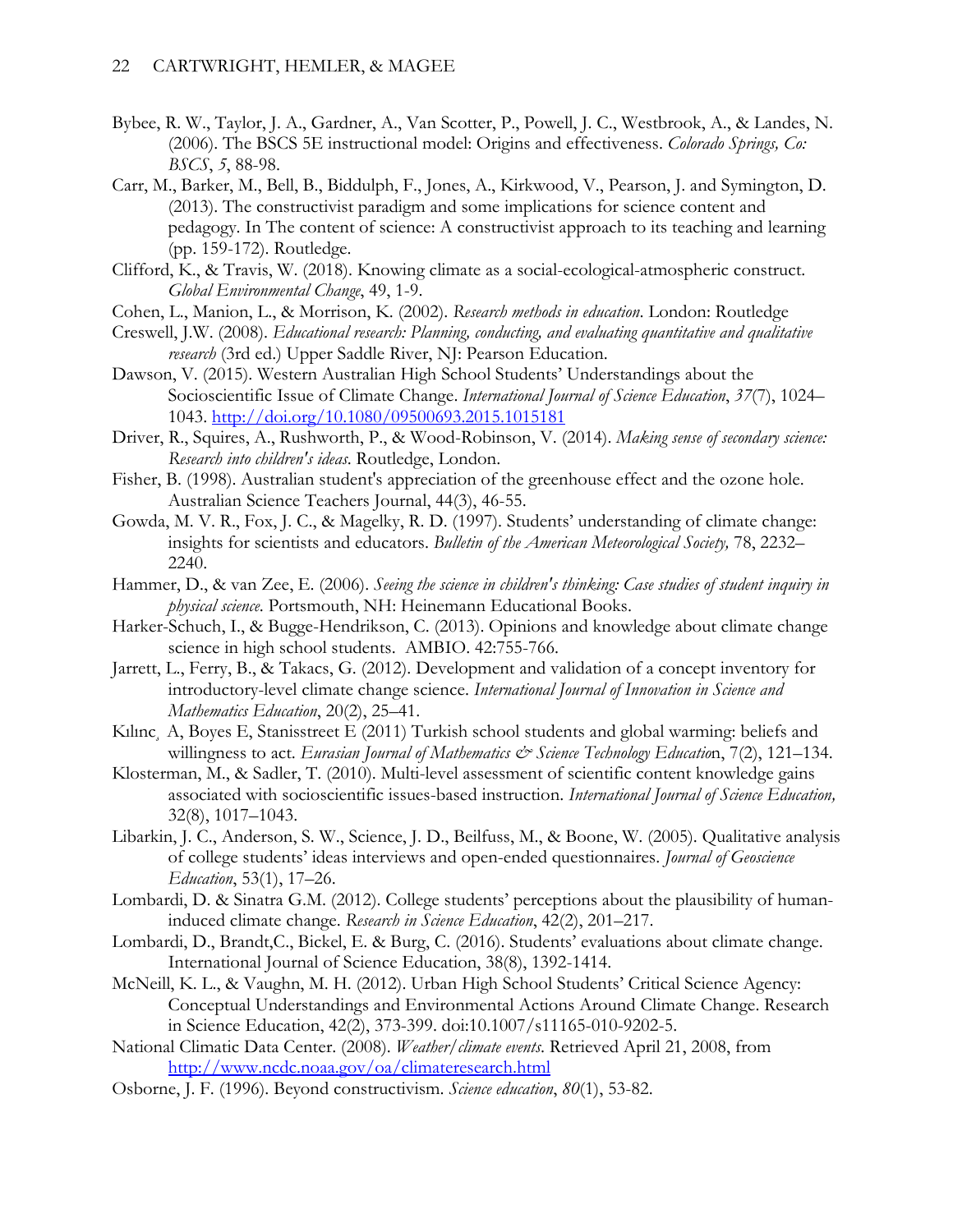- Bybee, R. W., Taylor, J. A., Gardner, A., Van Scotter, P., Powell, J. C., Westbrook, A., & Landes, N. (2006). The BSCS 5E instructional model: Origins and effectiveness. *Colorado Springs, Co: BSCS*, *5*, 88-98.
- Carr, M., Barker, M., Bell, B., Biddulph, F., Jones, A., Kirkwood, V., Pearson, J. and Symington, D. (2013). The constructivist paradigm and some implications for science content and pedagogy. In The content of science: A constructivist approach to its teaching and learning (pp. 159-172). Routledge.
- Clifford, K., & Travis, W. (2018). Knowing climate as a social-ecological-atmospheric construct. *Global Environmental Change*, 49, 1-9.
- Cohen, L., Manion, L., & Morrison, K. (2002). *Research methods in education*. London: Routledge
- Creswell, J.W. (2008). *Educational research: Planning, conducting, and evaluating quantitative and qualitative research* (3rd ed.) Upper Saddle River, NJ: Pearson Education.
- Dawson, V. (2015). Western Australian High School Students' Understandings about the Socioscientific Issue of Climate Change. *International Journal of Science Education*, *37*(7), 1024– 1043.<http://doi.org/10.1080/09500693.2015.1015181>
- Driver, R., Squires, A., Rushworth, P., & Wood-Robinson, V. (2014). *Making sense of secondary science: Research into children's ideas*. Routledge, London.
- Fisher, B. (1998). Australian student's appreciation of the greenhouse effect and the ozone hole. Australian Science Teachers Journal, 44(3), 46-55.
- Gowda, M. V. R., Fox, J. C., & Magelky, R. D. (1997). Students' understanding of climate change: insights for scientists and educators. *Bulletin of the American Meteorological Society,* 78, 2232– 2240.
- Hammer, D., & van Zee, E. (2006). *Seeing the science in children's thinking: Case studies of student inquiry in physical science*. Portsmouth, NH: Heinemann Educational Books.
- Harker-Schuch, I., & Bugge-Hendrikson, C. (2013). Opinions and knowledge about climate change science in high school students. AMBIO. 42:755-766.
- Jarrett, L., Ferry, B., & Takacs, G. (2012). Development and validation of a concept inventory for introductory-level climate change science. *International Journal of Innovation in Science and Mathematics Education*, 20(2), 25–41.
- Kılınc, A, Boyes E, Stanisstreet E (2011) Turkish school students and global warming: beliefs and willingness to act. *Eurasian Journal of Mathematics & Science Technology Education*, 7(2), 121–134.
- Klosterman, M., & Sadler, T. (2010). Multi-level assessment of scientific content knowledge gains associated with socioscientific issues-based instruction. *International Journal of Science Education,* 32(8), 1017–1043.
- Libarkin, J. C., Anderson, S. W., Science, J. D., Beilfuss, M., & Boone, W. (2005). Qualitative analysis of college students' ideas interviews and open-ended questionnaires. *Journal of Geoscience Education*, 53(1), 17–26.
- Lombardi, D. & Sinatra G.M. (2012). College students' perceptions about the plausibility of humaninduced climate change. *Research in Science Education*, 42(2), 201–217.
- Lombardi, D., Brandt,C., Bickel, E. & Burg, C. (2016). Students' evaluations about climate change. International Journal of Science Education, 38(8), 1392-1414.
- McNeill, K. L., & Vaughn, M. H. (2012). Urban High School Students' Critical Science Agency: Conceptual Understandings and Environmental Actions Around Climate Change. Research in Science Education, 42(2), 373-399. doi:10.1007/s11165-010-9202-5.
- National Climatic Data Center. (2008). *Weather/climate events*. Retrieved April 21, 2008, from <http://www.ncdc.noaa.gov/oa/climateresearch.html>
- Osborne, J. F. (1996). Beyond constructivism. *Science education*, *80*(1), 53-82.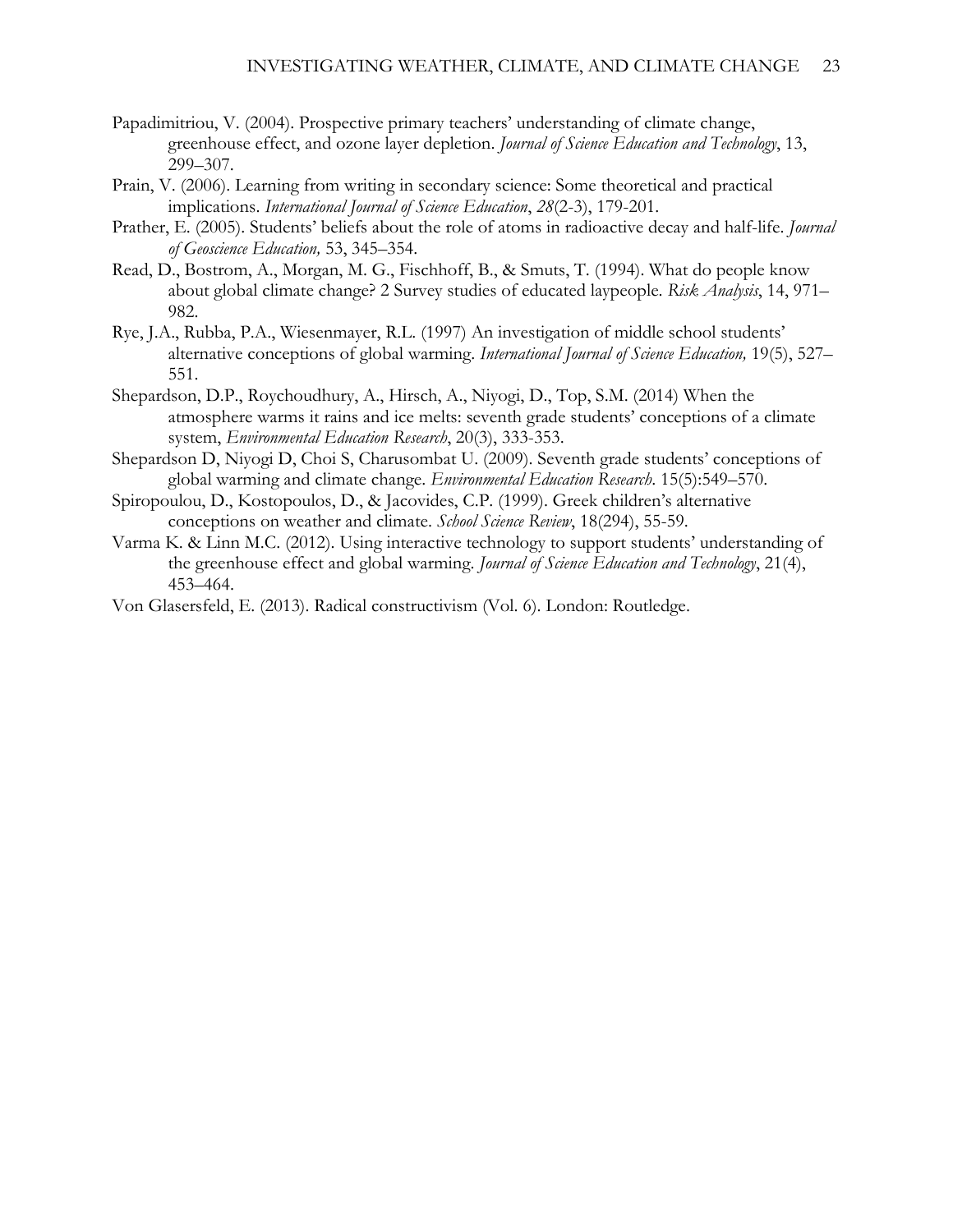- Papadimitriou, V. (2004). Prospective primary teachers' understanding of climate change, greenhouse effect, and ozone layer depletion. *Journal of Science Education and Technology*, 13, 299–307.
- Prain, V. (2006). Learning from writing in secondary science: Some theoretical and practical implications. *International Journal of Science Education*, *28*(2-3), 179-201.
- Prather, E. (2005). Students' beliefs about the role of atoms in radioactive decay and half-life. *Journal of Geoscience Education,* 53, 345–354.
- Read, D., Bostrom, A., Morgan, M. G., Fischhoff, B., & Smuts, T. (1994). What do people know about global climate change? 2 Survey studies of educated laypeople. *Risk Analysis*, 14, 971– 982.
- Rye, J.A., Rubba, P.A., Wiesenmayer, R.L. (1997) An investigation of middle school students' alternative conceptions of global warming. *International Journal of Science Education,* 19(5), 527– 551.
- Shepardson, D.P., Roychoudhury, A., Hirsch, A., Niyogi, D., Top, S.M. (2014) When the atmosphere warms it rains and ice melts: seventh grade students' conceptions of a climate system, *Environmental Education Research*, 20(3), 333-353.
- Shepardson D, Niyogi D, Choi S, Charusombat U. (2009). Seventh grade students' conceptions of global warming and climate change. *Environmental Education Research*. 15(5):549–570.
- Spiropoulou, D., Kostopoulos, D., & Jacovides, C.P. (1999). Greek children's alternative conceptions on weather and climate. *School Science Review*, 18(294), 55-59.
- Varma K. & Linn M.C. (2012). Using interactive technology to support students' understanding of the greenhouse effect and global warming. *Journal of Science Education and Technology*, 21(4), 453–464.

Von Glasersfeld, E. (2013). Radical constructivism (Vol. 6). London: Routledge.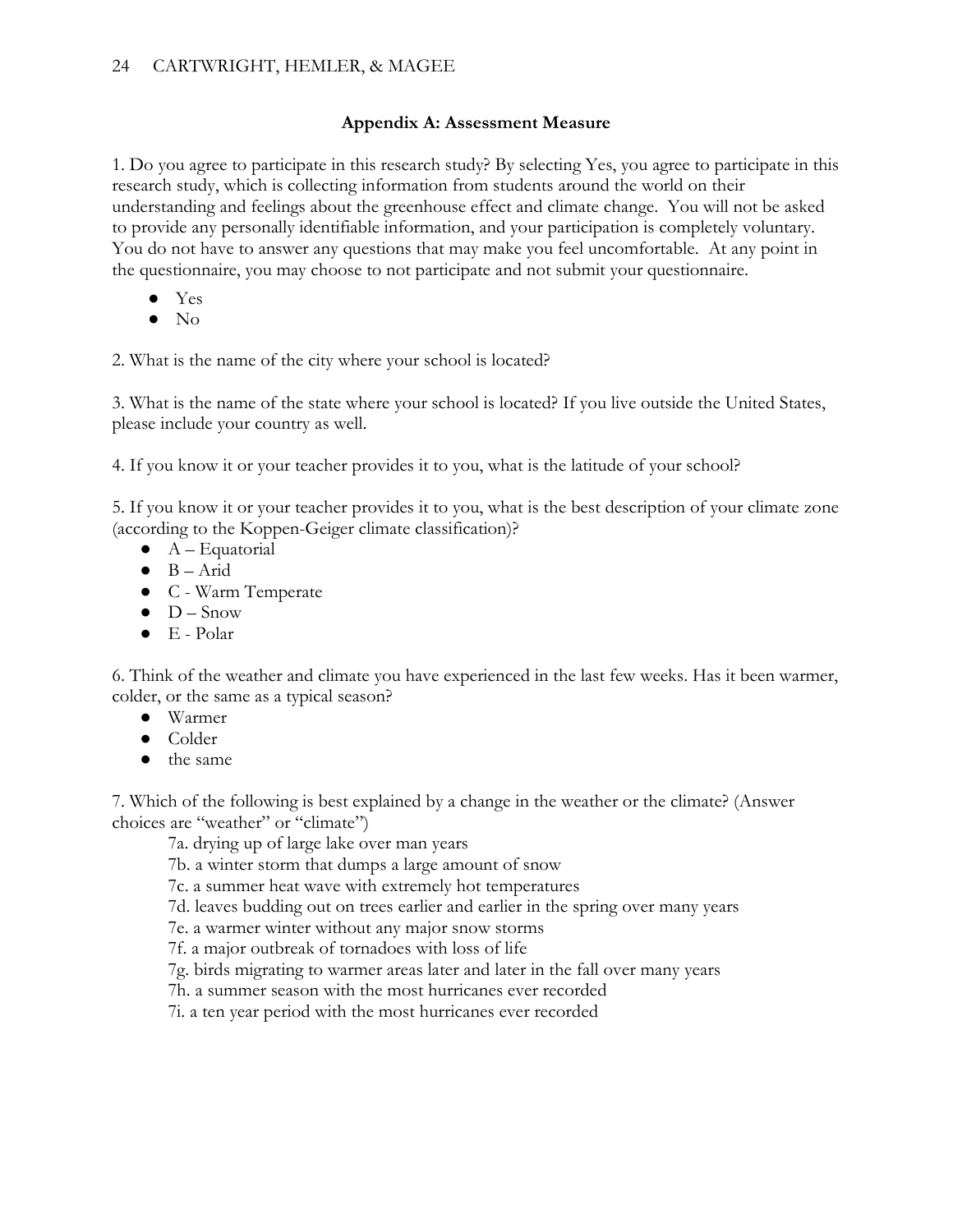## **Appendix A: Assessment Measure**

1. Do you agree to participate in this research study? By selecting Yes, you agree to participate in this research study, which is collecting information from students around the world on their understanding and feelings about the greenhouse effect and climate change. You will not be asked to provide any personally identifiable information, and your participation is completely voluntary. You do not have to answer any questions that may make you feel uncomfortable. At any point in the questionnaire, you may choose to not participate and not submit your questionnaire.

- Yes
- $\bullet$  No

2. What is the name of the city where your school is located?

3. What is the name of the state where your school is located? If you live outside the United States, please include your country as well.

4. If you know it or your teacher provides it to you, what is the latitude of your school?

5. If you know it or your teacher provides it to you, what is the best description of your climate zone (according to the Koppen-Geiger climate classification)?

- $\bullet$  A Equatorial
- $\bullet$  B Arid
- C Warm Temperate
- $\bullet$  D Snow
- E Polar

6. Think of the weather and climate you have experienced in the last few weeks. Has it been warmer, colder, or the same as a typical season?

- Warmer
- Colder
- the same

7. Which of the following is best explained by a change in the weather or the climate? (Answer choices are "weather" or "climate")

7a. drying up of large lake over man years

7b. a winter storm that dumps a large amount of snow

7c. a summer heat wave with extremely hot temperatures

7d. leaves budding out on trees earlier and earlier in the spring over many years

7e. a warmer winter without any major snow storms

7f. a major outbreak of tornadoes with loss of life

7g. birds migrating to warmer areas later and later in the fall over many years

7h. a summer season with the most hurricanes ever recorded

7i. a ten year period with the most hurricanes ever recorded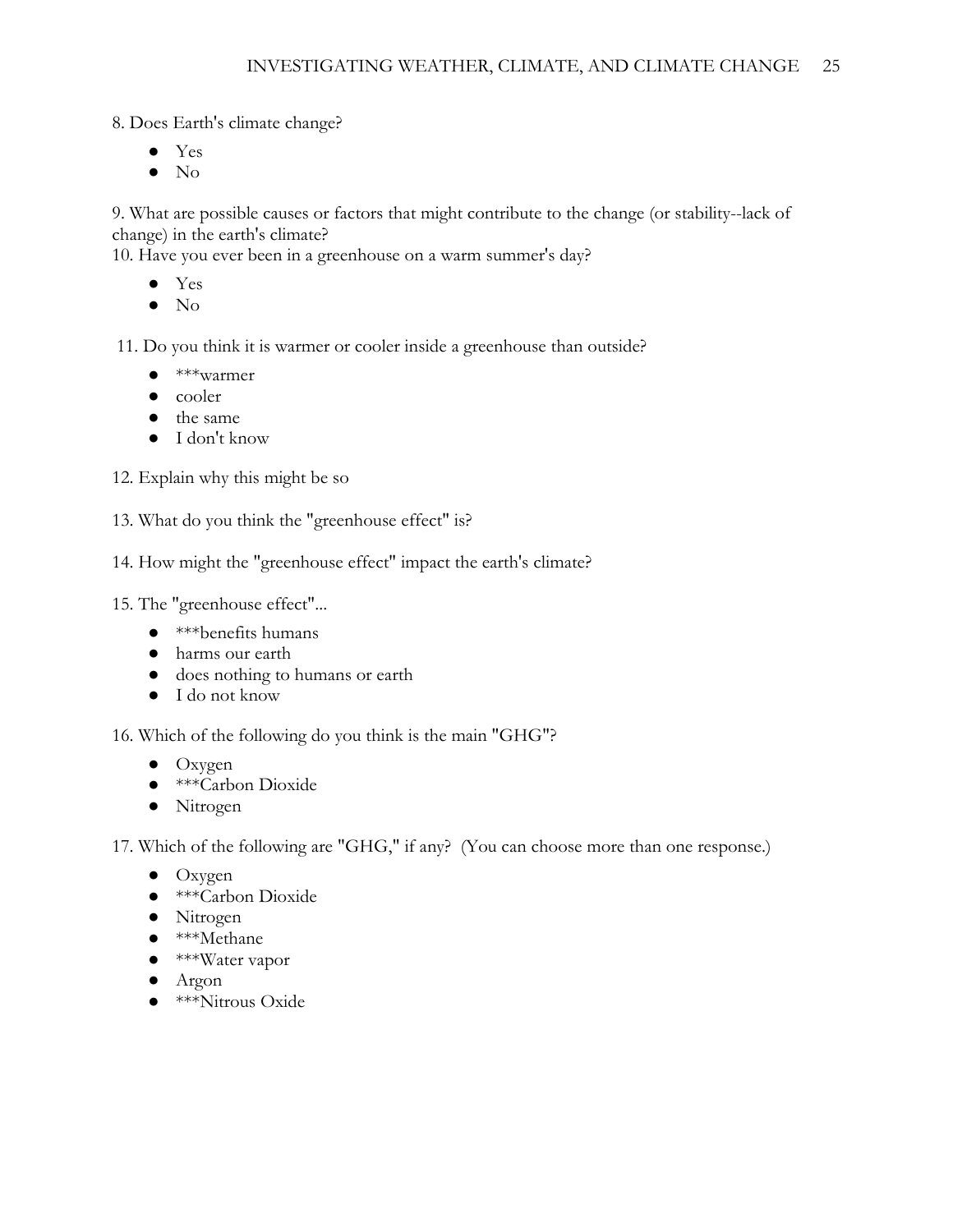8. Does Earth's climate change?

- Yes
- No

9. What are possible causes or factors that might contribute to the change (or stability--lack of change) in the earth's climate?

10. Have you ever been in a greenhouse on a warm summer's day?

- Yes
- No

11. Do you think it is warmer or cooler inside a greenhouse than outside?

- \*\*\*warmer
- cooler
- the same
- I don't know

12. Explain why this might be so

- 13. What do you think the "greenhouse effect" is?
- 14. How might the "greenhouse effect" impact the earth's climate?

15. The "greenhouse effect"...

- \*\*\*benefits humans
- harms our earth
- does nothing to humans or earth
- I do not know

16. Which of the following do you think is the main "GHG"?

- Oxygen
- \*\*\*Carbon Dioxide
- Nitrogen

17. Which of the following are "GHG," if any? (You can choose more than one response.)

- Oxygen
- \*\*\*Carbon Dioxide
- Nitrogen
- \*\*\*Methane
- \*\*\*Water vapor
- Argon
- \*\*\*Nitrous Oxide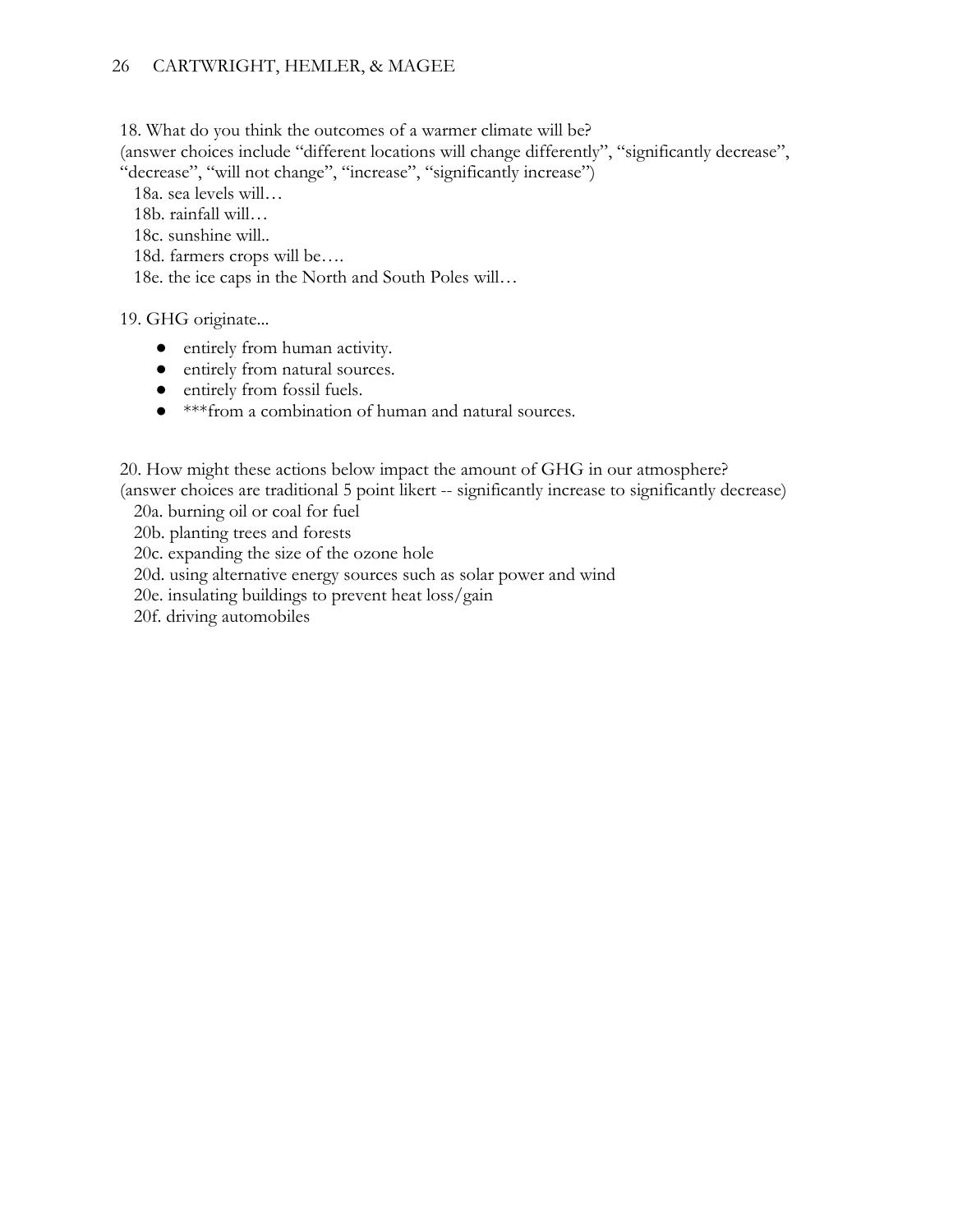18. What do you think the outcomes of a warmer climate will be?

(answer choices include "different locations will change differently", "significantly decrease", "decrease", "will not change", "increase", "significantly increase")

18a. sea levels will…

18b. rainfall will…

18c. sunshine will..

18d. farmers crops will be….

18e. the ice caps in the North and South Poles will…

19. GHG originate...

- entirely from human activity.
- entirely from natural sources.
- entirely from fossil fuels.
- \*\*\*from a combination of human and natural sources.

20. How might these actions below impact the amount of GHG in our atmosphere? (answer choices are traditional 5 point likert -- significantly increase to significantly decrease)

20a. burning oil or coal for fuel

20b. planting trees and forests

20c. expanding the size of the ozone hole

20d. using alternative energy sources such as solar power and wind

20e. insulating buildings to prevent heat loss/gain

20f. driving automobiles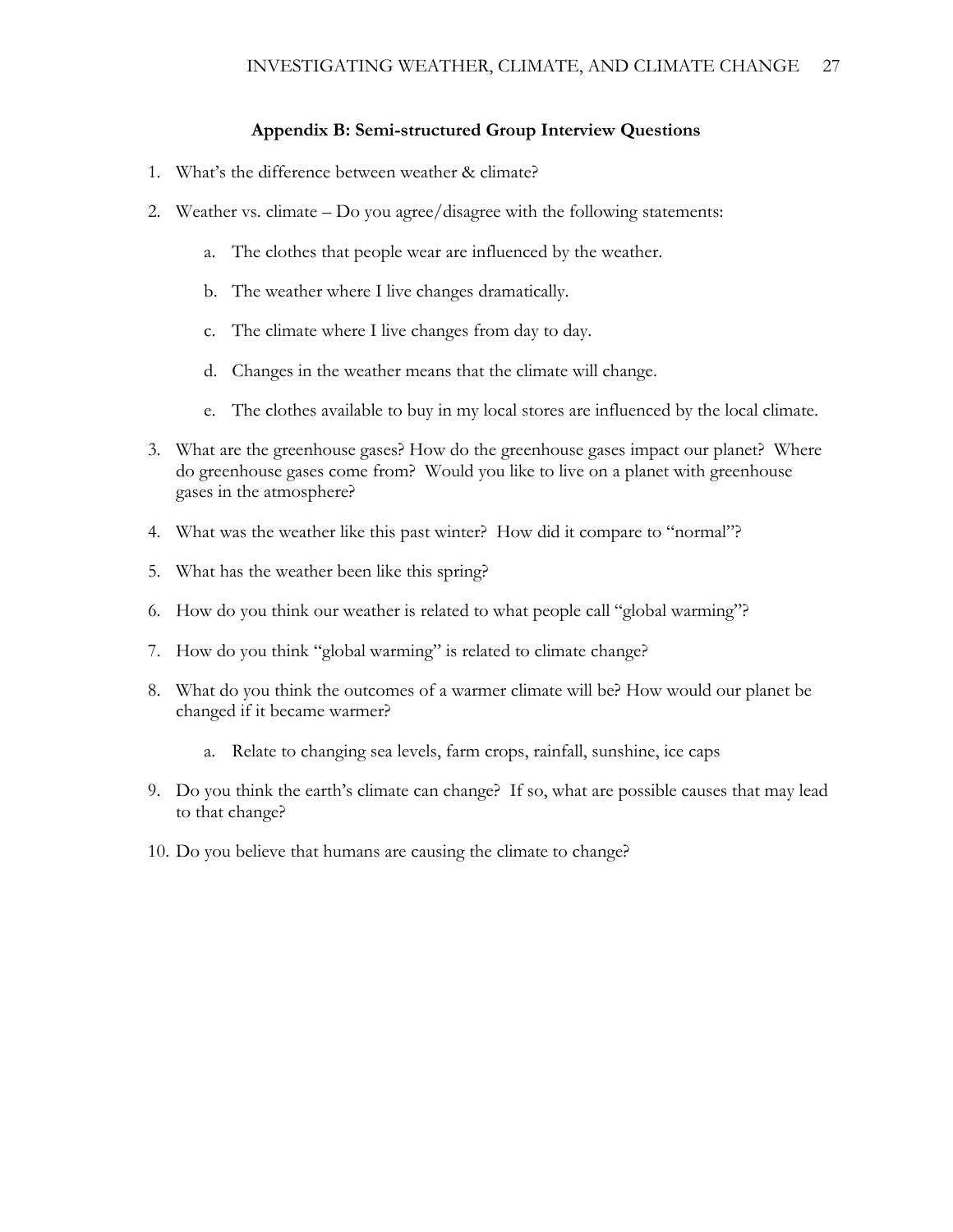### **Appendix B: Semi-structured Group Interview Questions**

- 1. What's the difference between weather & climate?
- 2. Weather vs. climate Do you agree/disagree with the following statements:
	- a. The clothes that people wear are influenced by the weather.
	- b. The weather where I live changes dramatically.
	- c. The climate where I live changes from day to day.
	- d. Changes in the weather means that the climate will change.
	- e. The clothes available to buy in my local stores are influenced by the local climate.
- 3. What are the greenhouse gases? How do the greenhouse gases impact our planet? Where do greenhouse gases come from? Would you like to live on a planet with greenhouse gases in the atmosphere?
- 4. What was the weather like this past winter? How did it compare to "normal"?
- 5. What has the weather been like this spring?
- 6. How do you think our weather is related to what people call "global warming"?
- 7. How do you think "global warming" is related to climate change?
- 8. What do you think the outcomes of a warmer climate will be? How would our planet be changed if it became warmer?
	- a. Relate to changing sea levels, farm crops, rainfall, sunshine, ice caps
- 9. Do you think the earth's climate can change? If so, what are possible causes that may lead to that change?
- 10. Do you believe that humans are causing the climate to change?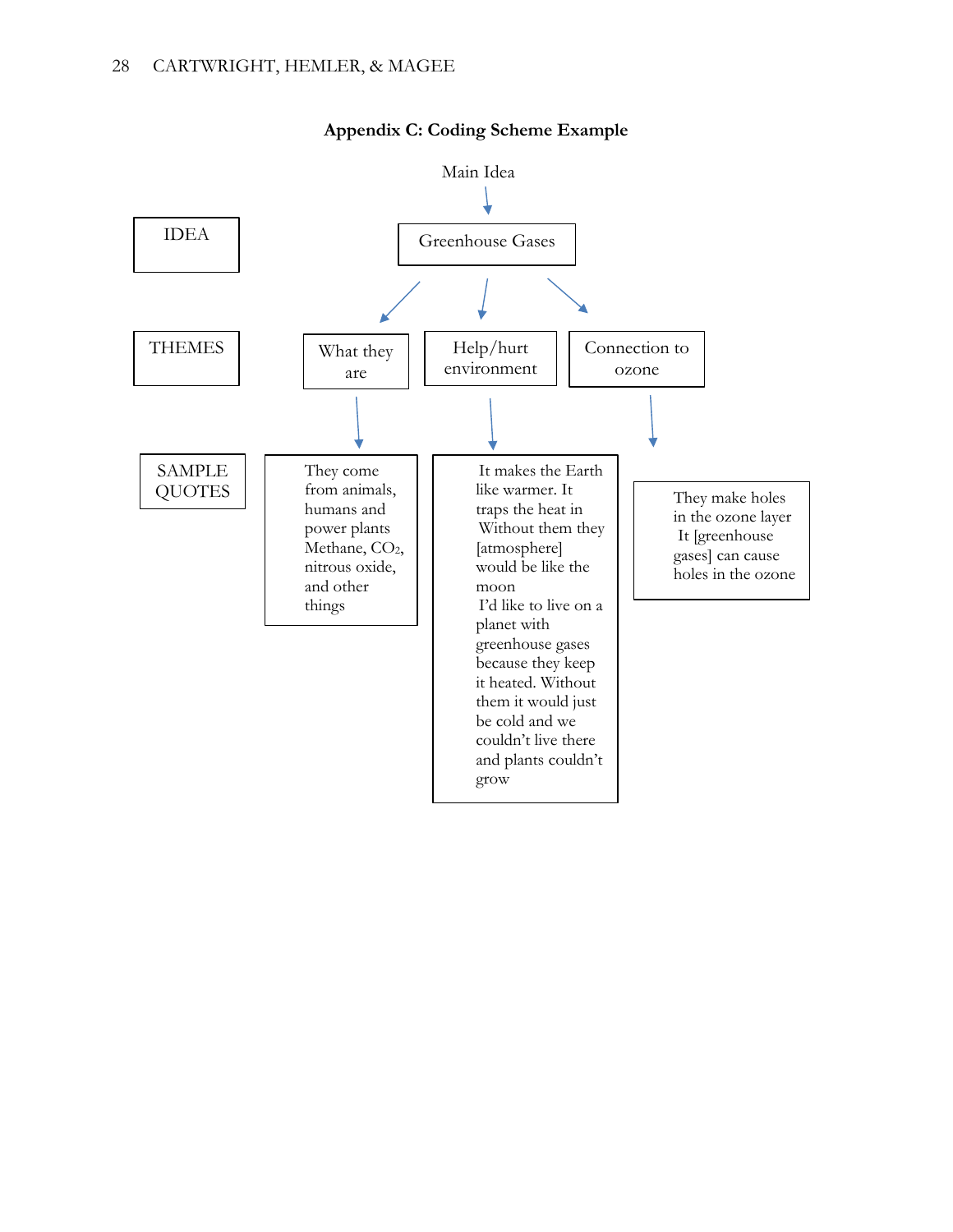

# **Appendix C: Coding Scheme Example**